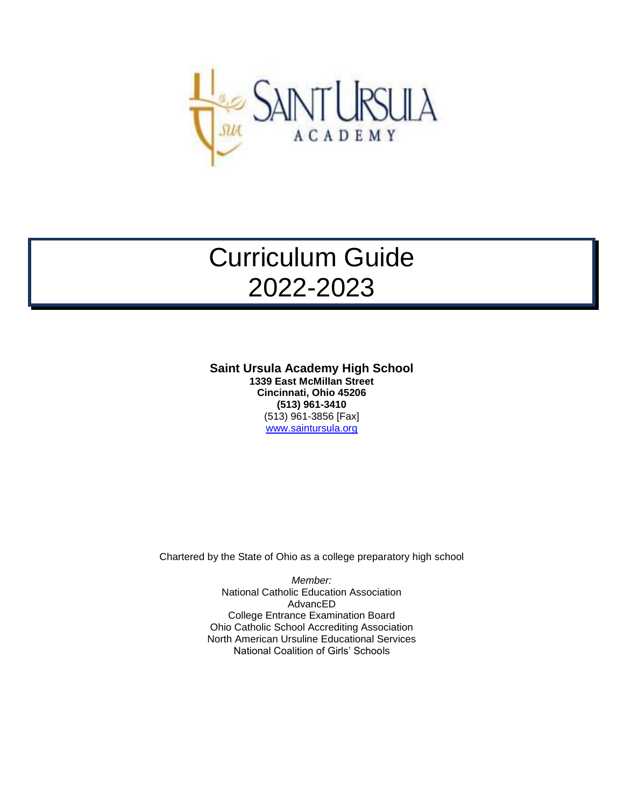

# Curriculum Guide 2022-2023

**Saint Ursula Academy High School 1339 East McMillan Street Cincinnati, Ohio 45206 (513) 961-3410** (513) 961-3856 [Fax] [www.saintursula.org](http://www.saintursula.org/)

Chartered by the State of Ohio as a college preparatory high school

*Member:* National Catholic Education Association AdvancED College Entrance Examination Board Ohio Catholic School Accrediting Association North American Ursuline Educational Services National Coalition of Girls' Schools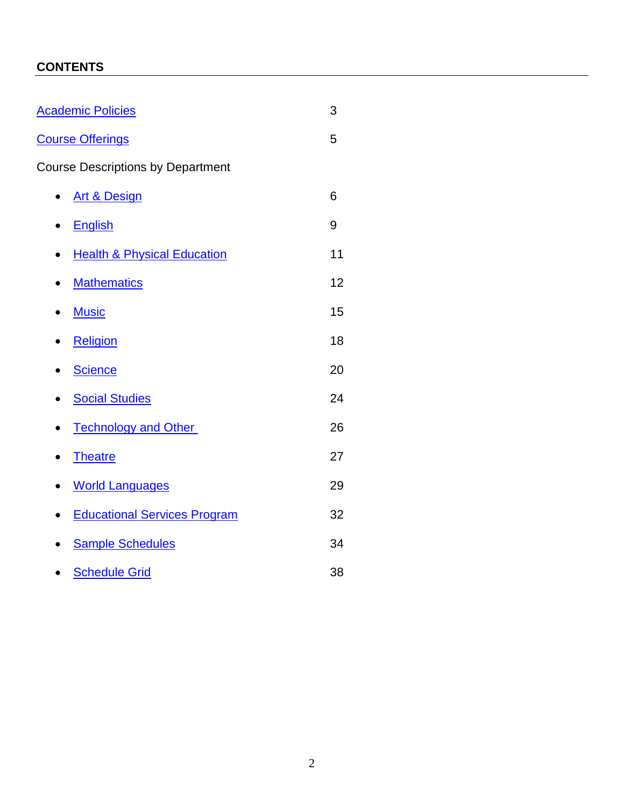# **CONTENTS**

<span id="page-1-0"></span>

| <b>Academic Policies</b>                 |    |  |
|------------------------------------------|----|--|
| <b>Course Offerings</b>                  |    |  |
| <b>Course Descriptions by Department</b> |    |  |
| <b>Art &amp; Design</b><br>$\bullet$     | 6  |  |
| <b>English</b><br>$\bullet$              | 9  |  |
| <b>Health &amp; Physical Education</b>   | 11 |  |
| <b>Mathematics</b><br>$\bullet$          | 12 |  |
| <b>Music</b>                             | 15 |  |
| Religion                                 | 18 |  |
| <b>Science</b>                           | 20 |  |
| <b>Social Studies</b>                    | 24 |  |
| <b>Technology and Other</b>              | 26 |  |
| <b>Theatre</b>                           | 27 |  |
| <b>World Languages</b>                   | 29 |  |
| <b>Educational Services Program</b>      | 32 |  |
| <b>Sample Schedules</b>                  | 34 |  |
| <b>Schedule Grid</b>                     | 38 |  |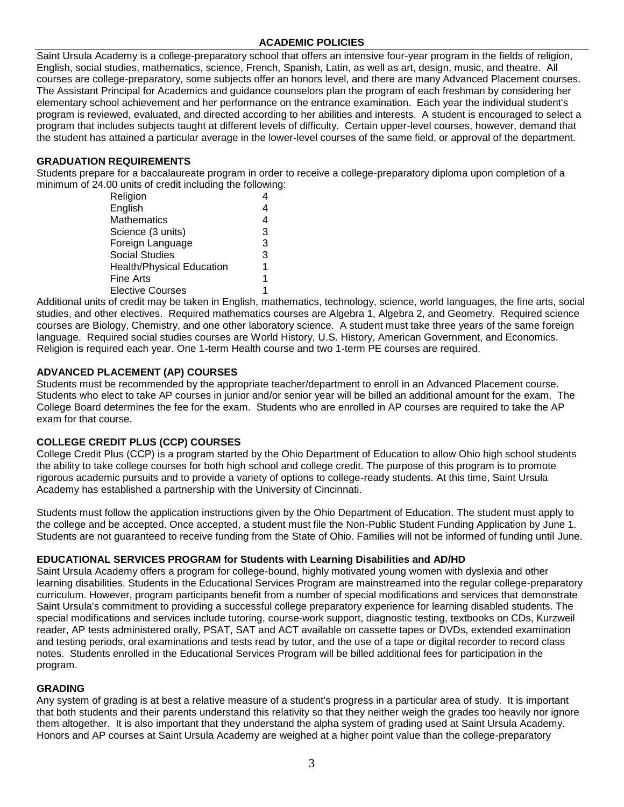# **ACADEMIC POLICIES**

Saint Ursula Academy is a college-preparatory school that offers an intensive four-year program in the fields of religion, English, social studies, mathematics, science, French, Spanish, Latin, as well as art, design, music, and theatre. All courses are college-preparatory, some subjects offer an honors level, and there are many Advanced Placement courses. The Assistant Principal for Academics and guidance counselors plan the program of each freshman by considering her elementary school achievement and her performance on the entrance examination. Each year the individual student's program is reviewed, evaluated, and directed according to her abilities and interests. A student is encouraged to select a program that includes subjects taught at different levels of difficulty. Certain upper-level courses, however, demand that the student has attained a particular average in the lower-level courses of the same field, or approval of the department.

# **GRADUATION REQUIREMENTS**

Students prepare for a baccalaureate program in order to receive a college-preparatory diploma upon completion of a minimum of 24.00 units of credit including the following:

| Religion                         |   |
|----------------------------------|---|
| English                          |   |
| <b>Mathematics</b>               | 4 |
| Science (3 units)                | 3 |
| Foreign Language                 | 3 |
| <b>Social Studies</b>            | 3 |
| <b>Health/Physical Education</b> | 1 |
| <b>Fine Arts</b>                 | 1 |
| <b>Elective Courses</b>          | 1 |

Additional units of credit may be taken in English, mathematics, technology, science, world languages, the fine arts, social studies, and other electives. Required mathematics courses are Algebra 1, Algebra 2, and Geometry. Required science courses are Biology, Chemistry, and one other laboratory science. A student must take three years of the same foreign language. Required social studies courses are World History, U.S. History, American Government, and Economics. Religion is required each year. One 1-term Health course and two 1-term PE courses are required.

# **ADVANCED PLACEMENT (AP) COURSES**

Students must be recommended by the appropriate teacher/department to enroll in an Advanced Placement course. Students who elect to take AP courses in junior and/or senior year will be billed an additional amount for the exam. The College Board determines the fee for the exam. Students who are enrolled in AP courses are required to take the AP exam for that course.

# **COLLEGE CREDIT PLUS (CCP) COURSES**

College Credit Plus (CCP) is a program started by the Ohio Department of Education to allow Ohio high school students the ability to take college courses for both high school and college credit. The purpose of this program is to promote rigorous academic pursuits and to provide a variety of options to college-ready students. At this time, Saint Ursula Academy has established a partnership with the University of Cincinnati.

Students must follow the application instructions given by the Ohio Department of Education. The student must apply to the college and be accepted. Once accepted, a student must file the Non-Public Student Funding Application by June 1. Students are not guaranteed to receive funding from the State of Ohio. Families will not be informed of funding until June.

#### **EDUCATIONAL SERVICES PROGRAM for Students with Learning Disabilities and AD/HD**

Saint Ursula Academy offers a program for college-bound, highly motivated young women with dyslexia and other learning disabilities. Students in the Educational Services Program are mainstreamed into the regular college-preparatory curriculum. However, program participants benefit from a number of special modifications and services that demonstrate Saint Ursula's commitment to providing a successful college preparatory experience for learning disabled students. The special modifications and services include tutoring, course-work support, diagnostic testing, textbooks on CDs, Kurzweil reader, AP tests administered orally, PSAT, SAT and ACT available on cassette tapes or DVDs, extended examination and testing periods, oral examinations and tests read by tutor, and the use of a tape or digital recorder to record class notes. Students enrolled in the Educational Services Program will be billed additional fees for participation in the program.

#### **GRADING**

Any system of grading is at best a relative measure of a student's progress in a particular area of study. It is important that both students and their parents understand this relativity so that they neither weigh the grades too heavily nor ignore them altogether. It is also important that they understand the alpha system of grading used at Saint Ursula Academy. Honors and AP courses at Saint Ursula Academy are weighed at a higher point value than the college-preparatory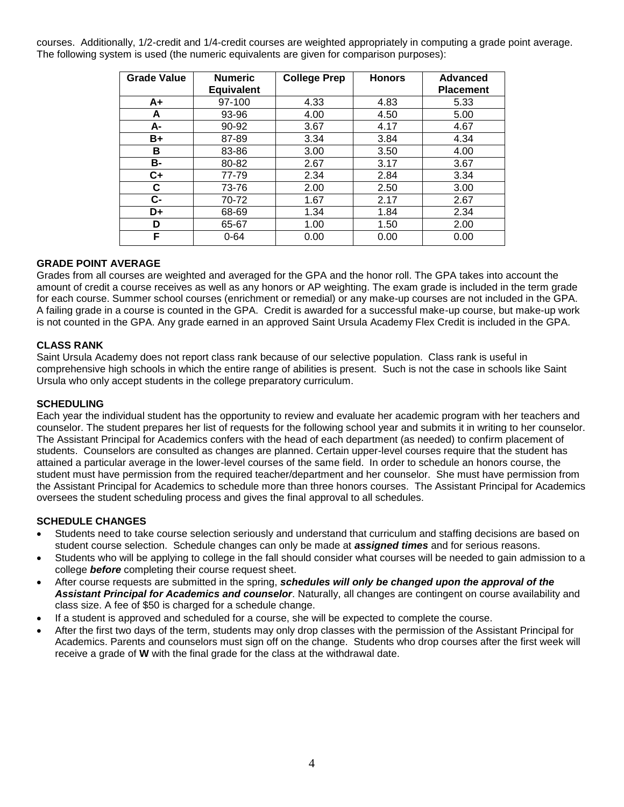courses. Additionally, 1/2-credit and 1/4-credit courses are weighted appropriately in computing a grade point average. The following system is used (the numeric equivalents are given for comparison purposes):

| <b>Grade Value</b> | <b>Numeric</b><br><b>Equivalent</b> | <b>College Prep</b> | <b>Honors</b> | <b>Advanced</b><br><b>Placement</b> |
|--------------------|-------------------------------------|---------------------|---------------|-------------------------------------|
| A+                 | 97-100                              | 4.33                | 4.83          | 5.33                                |
| A                  | 93-96                               | 4.00                | 4.50          | 5.00                                |
| А-                 | 90-92                               | 3.67                | 4.17          | 4.67                                |
| B+                 | 87-89                               | 3.34                | 3.84          | 4.34                                |
| В                  | 83-86                               | 3.00                | 3.50          | 4.00                                |
| в-                 | 80-82                               | 2.67                | 3.17          | 3.67                                |
| C+                 | 77-79                               | 2.34                | 2.84          | 3.34                                |
| С                  | 73-76                               | 2.00                | 2.50          | 3.00                                |
| C-                 | 70-72                               | 1.67                | 2.17          | 2.67                                |
| D+                 | 68-69                               | 1.34                | 1.84          | 2.34                                |
| D                  | 65-67                               | 1.00                | 1.50          | 2.00                                |
| F                  | $0 - 64$                            | 0.00                | 0.00          | 0.00                                |

# **GRADE POINT AVERAGE**

Grades from all courses are weighted and averaged for the GPA and the honor roll. The GPA takes into account the amount of credit a course receives as well as any honors or AP weighting. The exam grade is included in the term grade for each course. Summer school courses (enrichment or remedial) or any make-up courses are not included in the GPA. A failing grade in a course is counted in the GPA. Credit is awarded for a successful make-up course, but make-up work is not counted in the GPA. Any grade earned in an approved Saint Ursula Academy Flex Credit is included in the GPA.

# **CLASS RANK**

Saint Ursula Academy does not report class rank because of our selective population. Class rank is useful in comprehensive high schools in which the entire range of abilities is present. Such is not the case in schools like Saint Ursula who only accept students in the college preparatory curriculum.

### **SCHEDULING**

Each year the individual student has the opportunity to review and evaluate her academic program with her teachers and counselor. The student prepares her list of requests for the following school year and submits it in writing to her counselor. The Assistant Principal for Academics confers with the head of each department (as needed) to confirm placement of students. Counselors are consulted as changes are planned. Certain upper-level courses require that the student has attained a particular average in the lower-level courses of the same field. In order to schedule an honors course, the student must have permission from the required teacher/department and her counselor. She must have permission from the Assistant Principal for Academics to schedule more than three honors courses. The Assistant Principal for Academics oversees the student scheduling process and gives the final approval to all schedules.

#### **SCHEDULE CHANGES**

- Students need to take course selection seriously and understand that curriculum and staffing decisions are based on student course selection. Schedule changes can only be made at *assigned times* and for serious reasons.
- Students who will be applying to college in the fall should consider what courses will be needed to gain admission to a college *before* completing their course request sheet.
- After course requests are submitted in the spring, *schedules will only be changed upon the approval of the Assistant Principal for Academics and counselor*. Naturally, all changes are contingent on course availability and class size. A fee of \$50 is charged for a schedule change.
- If a student is approved and scheduled for a course, she will be expected to complete the course.
- After the first two days of the term, students may only drop classes with the permission of the Assistant Principal for Academics. Parents and counselors must sign off on the change. Students who drop courses after the first week will receive a grade of **W** with the final grade for the class at the withdrawal date.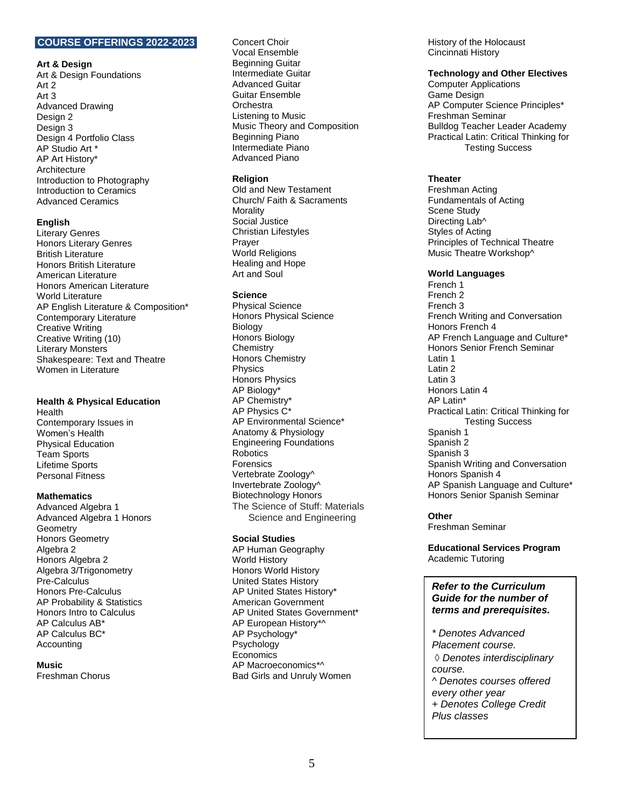# <span id="page-4-0"></span>**COURSE OFFERINGS 2022-2023**

#### **Art & Design**

Art & Design Foundations Art 2 Art 3 Advanced Drawing Design 2 Design 3 Design 4 Portfolio Class AP Studio Art \* AP Art History\* Architecture Introduction to Photography Introduction to Ceramics Advanced Ceramics

#### **English**

Literary Genres Honors Literary Genres British Literature Honors British Literature American Literature Honors American Literature World Literature AP English Literature & Composition\* Contemporary Literature Creative Writing Creative Writing (10) Literary Monsters Shakespeare: Text and Theatre Women in Literature

#### **Health & Physical Education**

Health Contemporary Issues in Women's Health Physical Education Team Sports Lifetime Sports Personal Fitness

#### **Mathematics**

Advanced Algebra 1 Advanced Algebra 1 Honors **Geometry** Honors Geometry Algebra 2 Honors Algebra 2 Algebra 3/Trigonometry Pre-Calculus Honors Pre-Calculus AP Probability & Statistics Honors Intro to Calculus AP Calculus AB\* AP Calculus BC\* Accounting

#### **Music**

Freshman Chorus

Concert Choir Vocal Ensemble Beginning Guitar Intermediate Guitar Advanced Guitar Guitar Ensemble **Orchestra** Listening to Music Music Theory and Composition Beginning Piano Intermediate Piano Advanced Piano

#### **Religion**

Old and New Testament Church/ Faith & Sacraments Morality Social Justice Christian Lifestyles Prayer World Religions Healing and Hope Art and Soul

#### **Science**

Physical Science Honors Physical Science **Biology** Honors Biology **Chemistry** Honors Chemistry Physics Honors Physics AP Biology\* AP Chemistry\* AP Physics C\* AP Environmental Science\* Anatomy & Physiology Engineering Foundations Robotics Forensics Vertebrate Zoology^ Invertebrate Zoology^ Biotechnology Honors The Science of Stuff: Materials Science and Engineering

#### **Social Studies**

AP Human Geography World History Honors World History United States History AP United States History\* American Government AP United States Government\* AP European History\*^ AP Psychology\* Psychology Economics AP Macroeconomics\*^ Bad Girls and Unruly Women

History of the Holocaust Cincinnati History

#### **Technology and Other Electives**

Computer Applications Game Design AP Computer Science Principles\* Freshman Seminar Bulldog Teacher Leader Academy Practical Latin: Critical Thinking for Testing Success

#### **Theater**

Freshman Acting Fundamentals of Acting Scene Study Directing Lab^ Styles of Acting Principles of Technical Theatre Music Theatre Workshop^

#### **World Languages**

French 1 French 2 French 3 French Writing and Conversation Honors French 4 AP French Language and Culture\* Honors Senior French Seminar Latin 1 Latin 2 Latin 3 Honors Latin 4 AP Latin\* Practical Latin: Critical Thinking for Testing Success Spanish 1 Spanish 2 Spanish 3 Spanish Writing and Conversation Honors Spanish 4 AP Spanish Language and Culture\* Honors Senior Spanish Seminar

#### **Other**

Freshman Seminar

**Educational Services Program** Academic Tutoring

#### *Refer to the Curriculum Guide for the number of terms and prerequisites.*

*\* Denotes Advanced Placement course. Denotes interdisciplinary course. ^ Denotes courses offered every other year + Denotes College Credit Plus classes*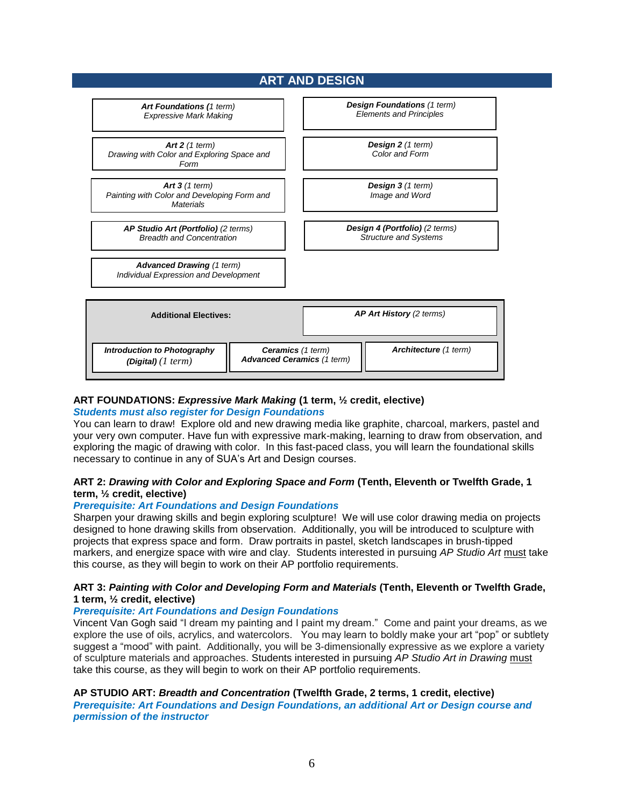# **ART AND DESIGN**

<span id="page-5-0"></span>

# **ART FOUNDATIONS:** *Expressive Mark Making* **(1 term, ½ credit, elective)**

#### *Students must also register for Design Foundations*

You can learn to draw! Explore old and new drawing media like graphite, charcoal, markers, pastel and your very own computer. Have fun with expressive mark-making, learning to draw from observation, and exploring the magic of drawing with color. In this fast-paced class, you will learn the foundational skills necessary to continue in any of SUA's Art and Design courses.

# **ART 2:** *Drawing with Color and Exploring Space and Form* **(Tenth, Eleventh or Twelfth Grade, 1 term, ½ credit, elective)**

#### *Prerequisite: Art Foundations and Design Foundations*

Sharpen your drawing skills and begin exploring sculpture! We will use color drawing media on projects designed to hone drawing skills from observation. Additionally, you will be introduced to sculpture with projects that express space and form. Draw portraits in pastel, sketch landscapes in brush-tipped markers, and energize space with wire and clay. Students interested in pursuing *AP Studio Art* must take this course, as they will begin to work on their AP portfolio requirements.

#### **ART 3:** *Painting with Color and Developing Form and Materials* **(Tenth, Eleventh or Twelfth Grade, 1 term, ½ credit, elective)**

#### *Prerequisite: Art Foundations and Design Foundations*

Vincent Van Gogh said "I dream my painting and I paint my dream." Come and paint your dreams, as we explore the use of oils, acrylics, and watercolors. You may learn to boldly make your art "pop" or subtlety suggest a "mood" with paint. Additionally, you will be 3-dimensionally expressive as we explore a variety of sculpture materials and approaches. Students interested in pursuing *AP Studio Art in Drawing* must take this course, as they will begin to work on their AP portfolio requirements.

**AP STUDIO ART:** *Breadth and Concentration* **(Twelfth Grade, 2 terms, 1 credit, elective)** *Prerequisite: Art Foundations and Design Foundations, an additional Art or Design course and permission of the instructor*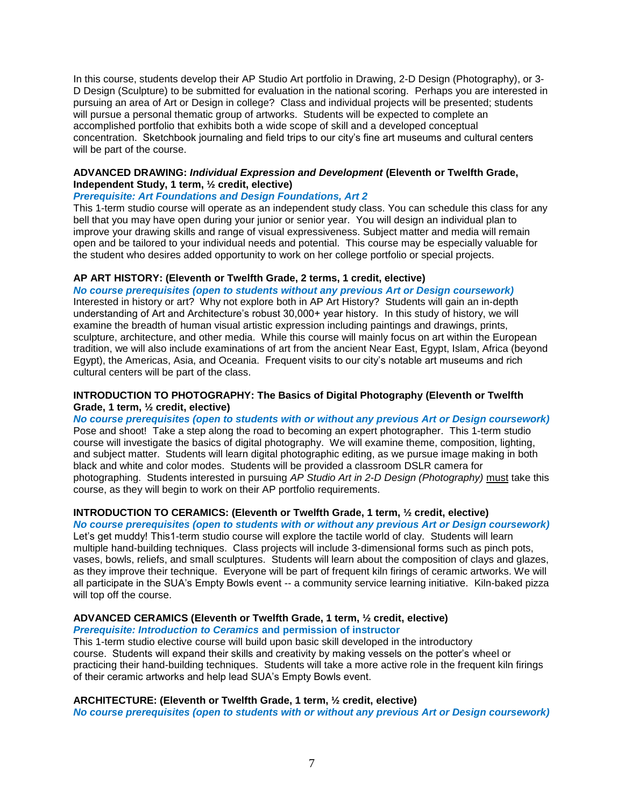In this course, students develop their AP Studio Art portfolio in Drawing, 2-D Design (Photography), or 3- D Design (Sculpture) to be submitted for evaluation in the national scoring. Perhaps you are interested in pursuing an area of Art or Design in college? Class and individual projects will be presented; students will pursue a personal thematic group of artworks. Students will be expected to complete an accomplished portfolio that exhibits both a wide scope of skill and a developed conceptual concentration. Sketchbook journaling and field trips to our city's fine art museums and cultural centers will be part of the course.

#### **ADVANCED DRAWING:** *Individual Expression and Development* **(Eleventh or Twelfth Grade, Independent Study, 1 term, ½ credit, elective)**

#### *Prerequisite: Art Foundations and Design Foundations, Art 2*

This 1-term studio course will operate as an independent study class. You can schedule this class for any bell that you may have open during your junior or senior year. You will design an individual plan to improve your drawing skills and range of visual expressiveness. Subject matter and media will remain open and be tailored to your individual needs and potential. This course may be especially valuable for the student who desires added opportunity to work on her college portfolio or special projects.

#### **AP ART HISTORY: (Eleventh or Twelfth Grade, 2 terms, 1 credit, elective)**

*No course prerequisites (open to students without any previous Art or Design coursework)*  Interested in history or art? Why not explore both in AP Art History? Students will gain an in-depth understanding of Art and Architecture's robust 30,000+ year history. In this study of history, we will examine the breadth of human visual artistic expression including paintings and drawings, prints, sculpture, architecture, and other media. While this course will mainly focus on art within the European tradition, we will also include examinations of art from the ancient Near East, Egypt, Islam, Africa (beyond Egypt), the Americas, Asia, and Oceania. Frequent visits to our city's notable art museums and rich cultural centers will be part of the class.

#### **INTRODUCTION TO PHOTOGRAPHY: The Basics of Digital Photography (Eleventh or Twelfth Grade, 1 term, ½ credit, elective)**

*No course prerequisites (open to students with or without any previous Art or Design coursework)*  Pose and shoot! Take a step along the road to becoming an expert photographer. This 1-term studio course will investigate the basics of digital photography. We will examine theme, composition, lighting, and subject matter. Students will learn digital photographic editing, as we pursue image making in both black and white and color modes. Students will be provided a classroom DSLR camera for photographing. Students interested in pursuing *AP Studio Art in 2-D Design (Photography)* must take this course, as they will begin to work on their AP portfolio requirements.

# **INTRODUCTION TO CERAMICS: (Eleventh or Twelfth Grade, 1 term, ½ credit, elective)**

*No course prerequisites (open to students with or without any previous Art or Design coursework)*  Let's get muddy! This1-term studio course will explore the tactile world of clay. Students will learn multiple hand-building techniques. Class projects will include 3-dimensional forms such as pinch pots, vases, bowls, reliefs, and small sculptures. Students will learn about the composition of clays and glazes, as they improve their technique. Everyone will be part of frequent kiln firings of ceramic artworks. We will all participate in the SUA's Empty Bowls event -- a community service learning initiative. Kiln-baked pizza will top off the course.

# **ADVANCED CERAMICS (Eleventh or Twelfth Grade, 1 term, ½ credit, elective)**

#### *Prerequisite: Introduction to Ceramics* **and permission of instructor**

This 1-term studio elective course will build upon basic skill developed in the introductory course. Students will expand their skills and creativity by making vessels on the potter's wheel or practicing their hand-building techniques. Students will take a more active role in the frequent kiln firings of their ceramic artworks and help lead SUA's Empty Bowls event.

# **ARCHITECTURE: (Eleventh or Twelfth Grade, 1 term, ½ credit, elective)**

*No course prerequisites (open to students with or without any previous Art or Design coursework)*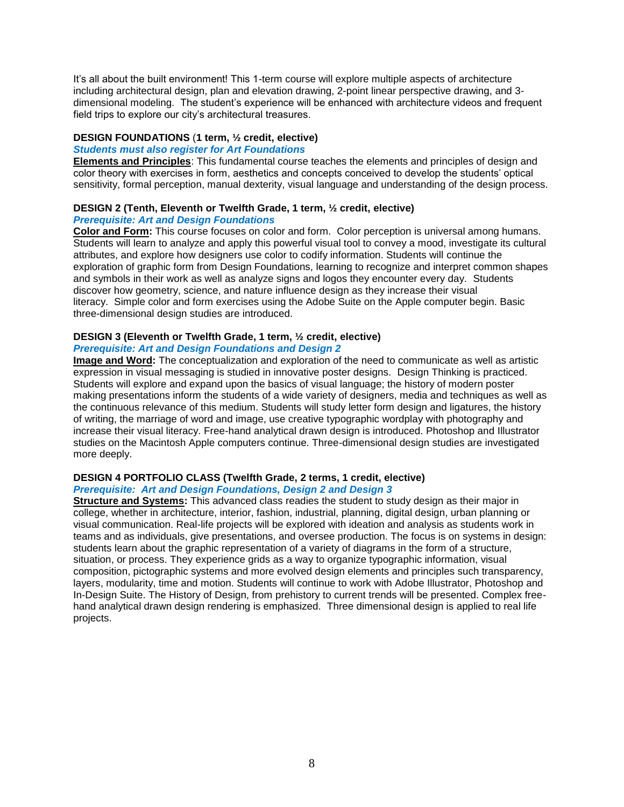It's all about the built environment! This 1-term course will explore multiple aspects of architecture including architectural design, plan and elevation drawing, 2-point linear perspective drawing, and 3 dimensional modeling. The student's experience will be enhanced with architecture videos and frequent field trips to explore our city's architectural treasures.

#### **DESIGN FOUNDATIONS** (**1 term, ½ credit, elective)**

#### *Students must also register for Art Foundations*

**Elements and Principles**: This fundamental course teaches the elements and principles of design and color theory with exercises in form, aesthetics and concepts conceived to develop the students' optical sensitivity, formal perception, manual dexterity, visual language and understanding of the design process.

#### **DESIGN 2 (Tenth, Eleventh or Twelfth Grade, 1 term, ½ credit, elective)** *Prerequisite: Art and Design Foundations*

**Color and Form:** This course focuses on color and form. Color perception is universal among humans. Students will learn to analyze and apply this powerful visual tool to convey a mood, investigate its cultural attributes, and explore how designers use color to codify information. Students will continue the exploration of graphic form from Design Foundations, learning to recognize and interpret common shapes and symbols in their work as well as analyze signs and logos they encounter every day. Students discover how geometry, science, and nature influence design as they increase their visual literacy. Simple color and form exercises using the Adobe Suite on the Apple computer begin. Basic three-dimensional design studies are introduced.

### **DESIGN 3 (Eleventh or Twelfth Grade, 1 term, ½ credit, elective)** *Prerequisite: Art and Design Foundations and Design 2*

**Image and Word:** The conceptualization and exploration of the need to communicate as well as artistic expression in visual messaging is studied in innovative poster designs. Design Thinking is practiced. Students will explore and expand upon the basics of visual language; the history of modern poster making presentations inform the students of a wide variety of designers, media and techniques as well as the continuous relevance of this medium. Students will study letter form design and ligatures, the history of writing, the marriage of word and image, use creative typographic wordplay with photography and increase their visual literacy. Free-hand analytical drawn design is introduced. Photoshop and Illustrator studies on the Macintosh Apple computers continue. Three-dimensional design studies are investigated more deeply.

# **DESIGN 4 PORTFOLIO CLASS (Twelfth Grade, 2 terms, 1 credit, elective)**

#### *Prerequisite: Art and Design Foundations, Design 2 and Design 3*

**Structure and Systems:** This advanced class readies the student to study design as their major in college, whether in architecture, interior, fashion, industrial, planning, digital design, urban planning or visual communication. Real-life projects will be explored with ideation and analysis as students work in teams and as individuals, give presentations, and oversee production. The focus is on systems in design: students learn about the graphic representation of a variety of diagrams in the form of a structure, situation, or process. They experience grids as a way to organize typographic information, visual composition, pictographic systems and more evolved design elements and principles such transparency, layers, modularity, time and motion. Students will continue to work with Adobe Illustrator, Photoshop and In-Design Suite. The History of Design, from prehistory to current trends will be presented. Complex freehand analytical drawn design rendering is emphasized. Three dimensional design is applied to real life projects.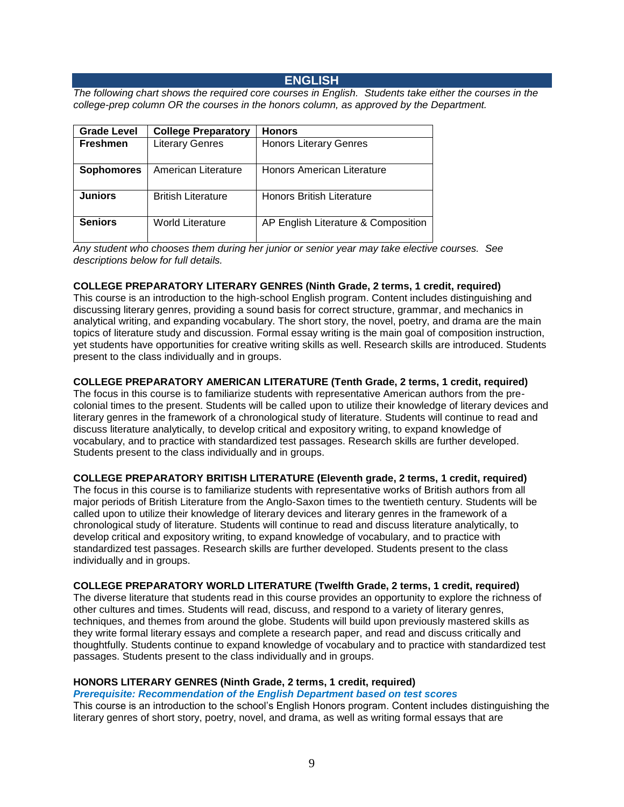# **ENGLISH**

<span id="page-8-0"></span>*The following chart shows the required core courses in English. Students take either the courses in the college-prep column OR the courses in the honors column, as approved by the Department.*

| <b>Grade Level</b> | <b>College Preparatory</b> | <b>Honors</b>                       |
|--------------------|----------------------------|-------------------------------------|
| <b>Freshmen</b>    | <b>Literary Genres</b>     | <b>Honors Literary Genres</b>       |
| <b>Sophomores</b>  | American Literature        | Honors American Literature          |
| <b>Juniors</b>     | <b>British Literature</b>  | <b>Honors British Literature</b>    |
| <b>Seniors</b>     | <b>World Literature</b>    | AP English Literature & Composition |

*Any student who chooses them during her junior or senior year may take elective courses. See descriptions below for full details.* 

#### **COLLEGE PREPARATORY LITERARY GENRES (Ninth Grade, 2 terms, 1 credit, required)**

This course is an introduction to the high-school English program. Content includes distinguishing and discussing literary genres, providing a sound basis for correct structure, grammar, and mechanics in analytical writing, and expanding vocabulary. The short story, the novel, poetry, and drama are the main topics of literature study and discussion. Formal essay writing is the main goal of composition instruction, yet students have opportunities for creative writing skills as well. Research skills are introduced. Students present to the class individually and in groups.

# **COLLEGE PREPARATORY AMERICAN LITERATURE (Tenth Grade, 2 terms, 1 credit, required)**

The focus in this course is to familiarize students with representative American authors from the precolonial times to the present. Students will be called upon to utilize their knowledge of literary devices and literary genres in the framework of a chronological study of literature. Students will continue to read and discuss literature analytically, to develop critical and expository writing, to expand knowledge of vocabulary, and to practice with standardized test passages. Research skills are further developed. Students present to the class individually and in groups.

#### **COLLEGE PREPARATORY BRITISH LITERATURE (Eleventh grade, 2 terms, 1 credit, required)**

The focus in this course is to familiarize students with representative works of British authors from all major periods of British Literature from the Anglo-Saxon times to the twentieth century. Students will be called upon to utilize their knowledge of literary devices and literary genres in the framework of a chronological study of literature. Students will continue to read and discuss literature analytically, to develop critical and expository writing, to expand knowledge of vocabulary, and to practice with standardized test passages. Research skills are further developed. Students present to the class individually and in groups.

#### **COLLEGE PREPARATORY WORLD LITERATURE (Twelfth Grade, 2 terms, 1 credit, required)**

The diverse literature that students read in this course provides an opportunity to explore the richness of other cultures and times. Students will read, discuss, and respond to a variety of literary genres, techniques, and themes from around the globe. Students will build upon previously mastered skills as they write formal literary essays and complete a research paper, and read and discuss critically and thoughtfully. Students continue to expand knowledge of vocabulary and to practice with standardized test passages. Students present to the class individually and in groups.

#### **HONORS LITERARY GENRES (Ninth Grade, 2 terms, 1 credit, required)**

*Prerequisite: Recommendation of the English Department based on test scores*

This course is an introduction to the school's English Honors program. Content includes distinguishing the literary genres of short story, poetry, novel, and drama, as well as writing formal essays that are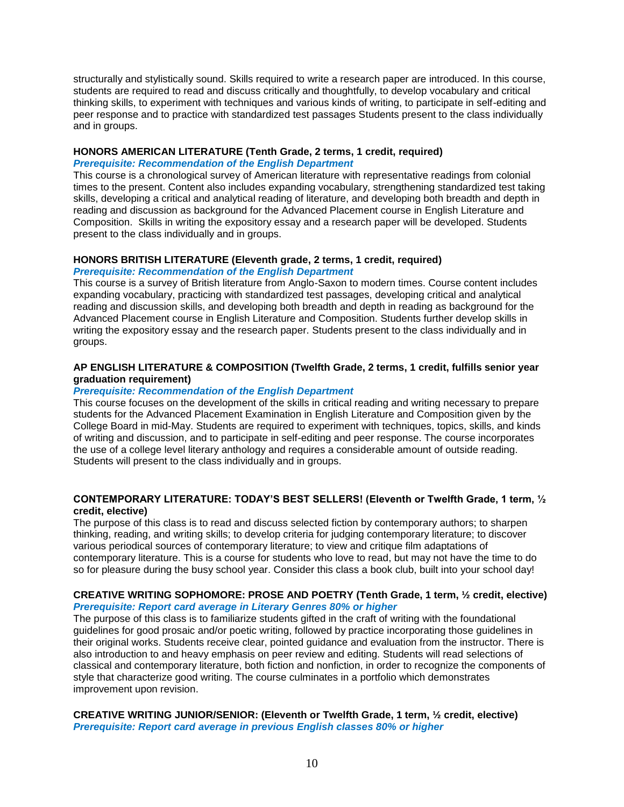structurally and stylistically sound. Skills required to write a research paper are introduced. In this course, students are required to read and discuss critically and thoughtfully, to develop vocabulary and critical thinking skills, to experiment with techniques and various kinds of writing, to participate in self-editing and peer response and to practice with standardized test passages Students present to the class individually and in groups.

# **HONORS AMERICAN LITERATURE (Tenth Grade, 2 terms, 1 credit, required)**

# *Prerequisite: Recommendation of the English Department*

This course is a chronological survey of American literature with representative readings from colonial times to the present. Content also includes expanding vocabulary, strengthening standardized test taking skills, developing a critical and analytical reading of literature, and developing both breadth and depth in reading and discussion as background for the Advanced Placement course in English Literature and Composition. Skills in writing the expository essay and a research paper will be developed. Students present to the class individually and in groups.

# **HONORS BRITISH LITERATURE (Eleventh grade, 2 terms, 1 credit, required)**

# *Prerequisite: Recommendation of the English Department*

This course is a survey of British literature from Anglo-Saxon to modern times. Course content includes expanding vocabulary, practicing with standardized test passages, developing critical and analytical reading and discussion skills, and developing both breadth and depth in reading as background for the Advanced Placement course in English Literature and Composition. Students further develop skills in writing the expository essay and the research paper. Students present to the class individually and in groups.

# **AP ENGLISH LITERATURE & COMPOSITION (Twelfth Grade, 2 terms, 1 credit, fulfills senior year graduation requirement)**

# *Prerequisite: Recommendation of the English Department*

This course focuses on the development of the skills in critical reading and writing necessary to prepare students for the Advanced Placement Examination in English Literature and Composition given by the College Board in mid-May. Students are required to experiment with techniques, topics, skills, and kinds of writing and discussion, and to participate in self-editing and peer response. The course incorporates the use of a college level literary anthology and requires a considerable amount of outside reading. Students will present to the class individually and in groups.

# **CONTEMPORARY LITERATURE: TODAY'S BEST SELLERS! (Eleventh or Twelfth Grade, 1 term, ½ credit, elective)**

The purpose of this class is to read and discuss selected fiction by contemporary authors; to sharpen thinking, reading, and writing skills; to develop criteria for judging contemporary literature; to discover various periodical sources of contemporary literature; to view and critique film adaptations of contemporary literature. This is a course for students who love to read, but may not have the time to do so for pleasure during the busy school year. Consider this class a book club, built into your school day!

# **CREATIVE WRITING SOPHOMORE: PROSE AND POETRY (Tenth Grade, 1 term, ½ credit, elective)** *Prerequisite: Report card average in Literary Genres 80% or higher*

The purpose of this class is to familiarize students gifted in the craft of writing with the foundational guidelines for good prosaic and/or poetic writing, followed by practice incorporating those guidelines in their original works. Students receive clear, pointed guidance and evaluation from the instructor. There is also introduction to and heavy emphasis on peer review and editing. Students will read selections of classical and contemporary literature, both fiction and nonfiction, in order to recognize the components of style that characterize good writing. The course culminates in a portfolio which demonstrates improvement upon revision.

#### **CREATIVE WRITING JUNIOR/SENIOR: (Eleventh or Twelfth Grade, 1 term, ½ credit, elective)** *Prerequisite: Report card average in previous English classes 80% or higher*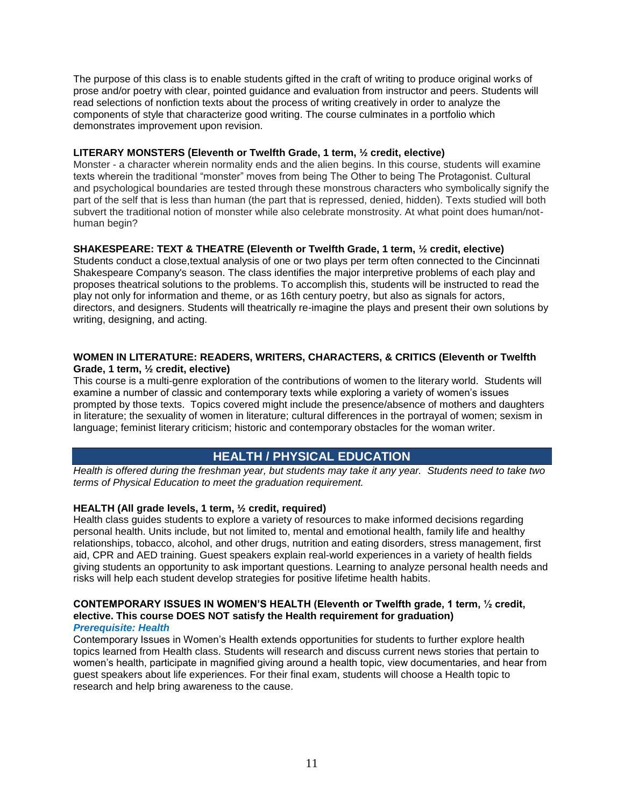The purpose of this class is to enable students gifted in the craft of writing to produce original works of prose and/or poetry with clear, pointed guidance and evaluation from instructor and peers. Students will read selections of nonfiction texts about the process of writing creatively in order to analyze the components of style that characterize good writing. The course culminates in a portfolio which demonstrates improvement upon revision.

# **LITERARY MONSTERS (Eleventh or Twelfth Grade, 1 term, ½ credit, elective)**

Monster - a character wherein normality ends and the alien begins. In this course, students will examine texts wherein the traditional "monster" moves from being The Other to being The Protagonist. Cultural and psychological boundaries are tested through these monstrous characters who symbolically signify the part of the self that is less than human (the part that is repressed, denied, hidden). Texts studied will both subvert the traditional notion of monster while also celebrate monstrosity. At what point does human/nothuman begin?

# **SHAKESPEARE: TEXT & THEATRE (Eleventh or Twelfth Grade, 1 term, ½ credit, elective)**

Students conduct a close,textual analysis of one or two plays per term often connected to the Cincinnati Shakespeare Company's season. The class identifies the major interpretive problems of each play and proposes theatrical solutions to the problems. To accomplish this, students will be instructed to read the play not only for information and theme, or as 16th century poetry, but also as signals for actors, directors, and designers. Students will theatrically re-imagine the plays and present their own solutions by writing, designing, and acting.

### **WOMEN IN LITERATURE: READERS, WRITERS, CHARACTERS, & CRITICS (Eleventh or Twelfth Grade, 1 term, ½ credit, elective)**

This course is a multi-genre exploration of the contributions of women to the literary world. Students will examine a number of classic and contemporary texts while exploring a variety of women's issues prompted by those texts. Topics covered might include the presence/absence of mothers and daughters in literature; the sexuality of women in literature; cultural differences in the portrayal of women; sexism in language; feminist literary criticism; historic and contemporary obstacles for the woman writer.

# **HEALTH / PHYSICAL EDUCATION**

*Health is offered during the freshman year, but students may take it any year. Students need to take two terms of Physical Education to meet the graduation requirement.* 

# **HEALTH (All grade levels, 1 term, ½ credit, required)**

Health class guides students to explore a variety of resources to make informed decisions regarding personal health. Units include, but not limited to, mental and emotional health, family life and healthy relationships, tobacco, alcohol, and other drugs, nutrition and eating disorders, stress management, first aid, CPR and AED training. Guest speakers explain real-world experiences in a variety of health fields giving students an opportunity to ask important questions. Learning to analyze personal health needs and risks will help each student develop strategies for positive lifetime health habits.

# **CONTEMPORARY ISSUES IN WOMEN'S HEALTH (Eleventh or Twelfth grade, 1 term, ½ credit, elective. This course DOES NOT satisfy the Health requirement for graduation)**

#### *Prerequisite: Health*

Contemporary Issues in Women's Health extends opportunities for students to further explore health topics learned from Health class. Students will research and discuss current news stories that pertain to women's health, participate in magnified giving around a health topic, view documentaries, and hear from guest speakers about life experiences. For their final exam, students will choose a Health topic to research and help bring awareness to the cause.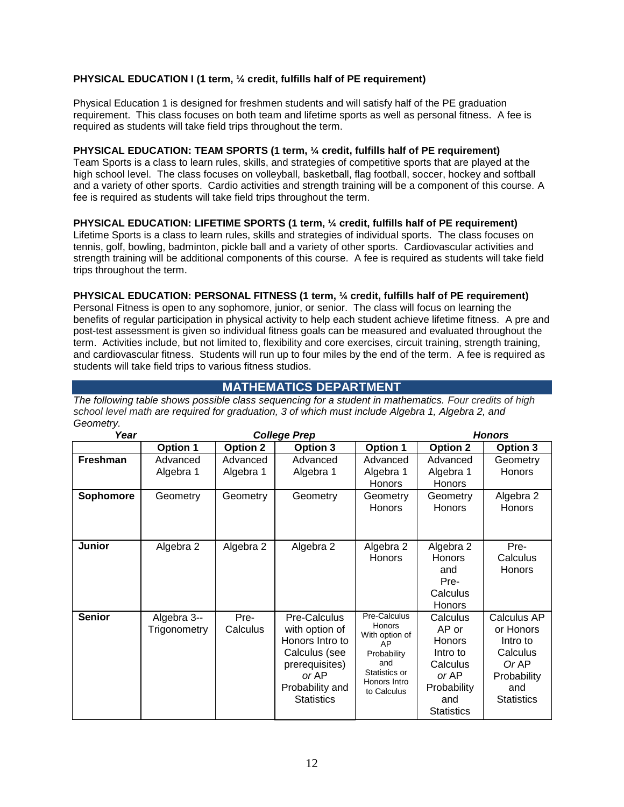# **PHYSICAL EDUCATION I (1 term, ¼ credit, fulfills half of PE requirement)**

Physical Education 1 is designed for freshmen students and will satisfy half of the PE graduation requirement. This class focuses on both team and lifetime sports as well as personal fitness. A fee is required as students will take field trips throughout the term.

#### **PHYSICAL EDUCATION: TEAM SPORTS (1 term, ¼ credit, fulfills half of PE requirement)**

Team Sports is a class to learn rules, skills, and strategies of competitive sports that are played at the high school level. The class focuses on volleyball, basketball, flag football, soccer, hockey and softball and a variety of other sports. Cardio activities and strength training will be a component of this course. A fee is required as students will take field trips throughout the term.

#### **PHYSICAL EDUCATION: LIFETIME SPORTS (1 term, ¼ credit, fulfills half of PE requirement)**

Lifetime Sports is a class to learn rules, skills and strategies of individual sports. The class focuses on tennis, golf, bowling, badminton, pickle ball and a variety of other sports. Cardiovascular activities and strength training will be additional components of this course. A fee is required as students will take field trips throughout the term.

#### **PHYSICAL EDUCATION: PERSONAL FITNESS (1 term, ¼ credit, fulfills half of PE requirement)**

Personal Fitness is open to any sophomore, junior, or senior. The class will focus on learning the benefits of regular participation in physical activity to help each student achieve lifetime fitness. A pre and post-test assessment is given so individual fitness goals can be measured and evaluated throughout the term. Activities include, but not limited to, flexibility and core exercises, circuit training, strength training, and cardiovascular fitness. Students will run up to four miles by the end of the term. A fee is required as students will take field trips to various fitness studios.

# **MATHEMATICS DEPARTMENT**

<span id="page-11-0"></span>*The following table shows possible class sequencing for a student in mathematics. Four credits of high school level math are required for graduation, 3 of which must include Algebra 1, Algebra 2, and Geometry.*

| Year          |                             | <b>College Prep</b>   |                                                                                                                                       |                                                                                                                      |                                                                                                                | <b>Honors</b>                                                                                        |
|---------------|-----------------------------|-----------------------|---------------------------------------------------------------------------------------------------------------------------------------|----------------------------------------------------------------------------------------------------------------------|----------------------------------------------------------------------------------------------------------------|------------------------------------------------------------------------------------------------------|
|               | <b>Option 1</b>             | <b>Option 2</b>       | <b>Option 3</b>                                                                                                                       | <b>Option 1</b>                                                                                                      | <b>Option 2</b>                                                                                                | <b>Option 3</b>                                                                                      |
| Freshman      | Advanced<br>Algebra 1       | Advanced<br>Algebra 1 | Advanced<br>Algebra 1                                                                                                                 | Advanced<br>Algebra 1<br><b>Honors</b>                                                                               | Advanced<br>Algebra 1<br><b>Honors</b>                                                                         | Geometry<br><b>Honors</b>                                                                            |
| Sophomore     | Geometry                    | Geometry              | Geometry                                                                                                                              | Geometry<br><b>Honors</b>                                                                                            | Geometry<br><b>Honors</b>                                                                                      | Algebra 2<br><b>Honors</b>                                                                           |
| <b>Junior</b> | Algebra 2                   | Algebra 2             | Algebra 2                                                                                                                             | Algebra 2<br><b>Honors</b>                                                                                           | Algebra 2<br><b>Honors</b><br>and<br>Pre-<br>Calculus<br><b>Honors</b>                                         | Pre-<br>Calculus<br><b>Honors</b>                                                                    |
| <b>Senior</b> | Algebra 3--<br>Trigonometry | Pre-<br>Calculus      | Pre-Calculus<br>with option of<br>Honors Intro to<br>Calculus (see<br>prerequisites)<br>or AP<br>Probability and<br><b>Statistics</b> | Pre-Calculus<br>Honors<br>With option of<br>AP<br>Probability<br>and<br>Statistics or<br>Honors Intro<br>to Calculus | Calculus<br>AP or<br><b>Honors</b><br>Intro to<br>Calculus<br>or AP<br>Probability<br>and<br><b>Statistics</b> | Calculus AP<br>or Honors<br>Intro to<br>Calculus<br>Or AP<br>Probability<br>and<br><b>Statistics</b> |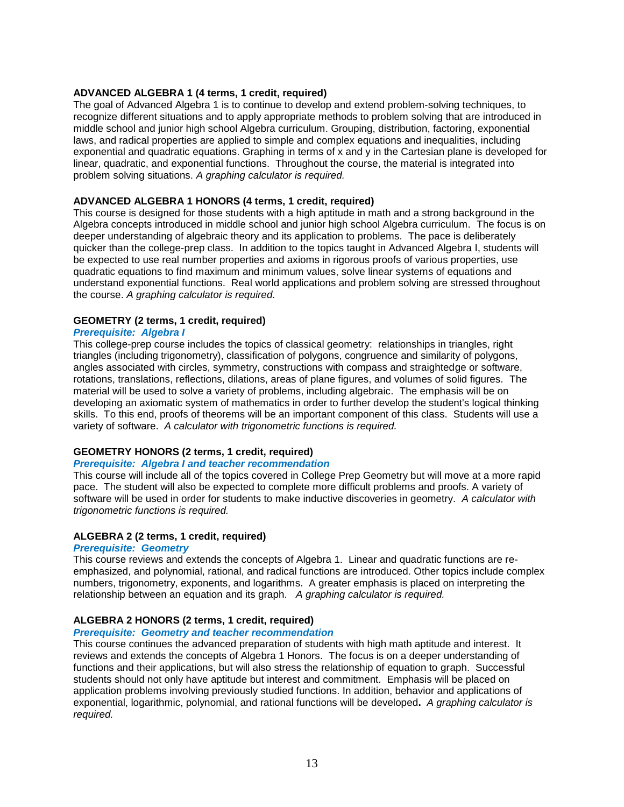#### **ADVANCED ALGEBRA 1 (4 terms, 1 credit, required)**

The goal of Advanced Algebra 1 is to continue to develop and extend problem-solving techniques, to recognize different situations and to apply appropriate methods to problem solving that are introduced in middle school and junior high school Algebra curriculum. Grouping, distribution, factoring, exponential laws, and radical properties are applied to simple and complex equations and inequalities, including exponential and quadratic equations. Graphing in terms of x and y in the Cartesian plane is developed for linear, quadratic, and exponential functions. Throughout the course, the material is integrated into problem solving situations. *A graphing calculator is required.*

### **ADVANCED ALGEBRA 1 HONORS (4 terms, 1 credit, required)**

This course is designed for those students with a high aptitude in math and a strong background in the Algebra concepts introduced in middle school and junior high school Algebra curriculum. The focus is on deeper understanding of algebraic theory and its application to problems. The pace is deliberately quicker than the college-prep class. In addition to the topics taught in Advanced Algebra I, students will be expected to use real number properties and axioms in rigorous proofs of various properties, use quadratic equations to find maximum and minimum values, solve linear systems of equations and understand exponential functions. Real world applications and problem solving are stressed throughout the course. *A graphing calculator is required.*

# **GEOMETRY (2 terms, 1 credit, required)**

# *Prerequisite: Algebra I*

This college-prep course includes the topics of classical geometry: relationships in triangles, right triangles (including trigonometry), classification of polygons, congruence and similarity of polygons, angles associated with circles, symmetry, constructions with compass and straightedge or software, rotations, translations, reflections, dilations, areas of plane figures, and volumes of solid figures. The material will be used to solve a variety of problems, including algebraic. The emphasis will be on developing an axiomatic system of mathematics in order to further develop the student's logical thinking skills. To this end, proofs of theorems will be an important component of this class. Students will use a variety of software. *A calculator with trigonometric functions is required.*

# **GEOMETRY HONORS (2 terms, 1 credit, required)**

#### *Prerequisite: Algebra I and teacher recommendation*

This course will include all of the topics covered in College Prep Geometry but will move at a more rapid pace. The student will also be expected to complete more difficult problems and proofs. A variety of software will be used in order for students to make inductive discoveries in geometry. *A calculator with trigonometric functions is required.*

# **ALGEBRA 2 (2 terms, 1 credit, required)**

#### *Prerequisite: Geometry*

This course reviews and extends the concepts of Algebra 1. Linear and quadratic functions are reemphasized, and polynomial, rational, and radical functions are introduced. Other topics include complex numbers, trigonometry, exponents, and logarithms. A greater emphasis is placed on interpreting the relationship between an equation and its graph. *A graphing calculator is required.*

#### **ALGEBRA 2 HONORS (2 terms, 1 credit, required)**

#### *Prerequisite: Geometry and teacher recommendation*

This course continues the advanced preparation of students with high math aptitude and interest. It reviews and extends the concepts of Algebra 1 Honors. The focus is on a deeper understanding of functions and their applications, but will also stress the relationship of equation to graph. Successful students should not only have aptitude but interest and commitment. Emphasis will be placed on application problems involving previously studied functions. In addition, behavior and applications of exponential, logarithmic, polynomial, and rational functions will be developed**.** *A graphing calculator is required.*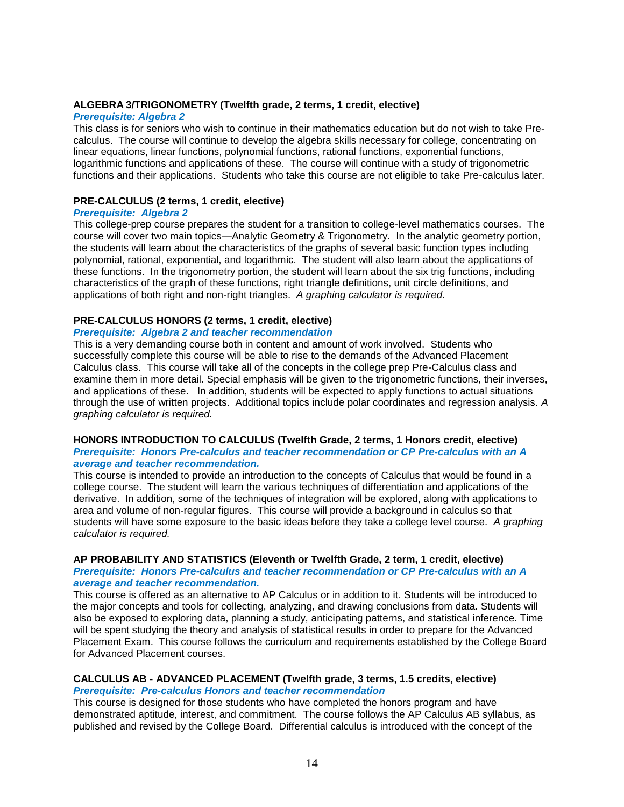# **ALGEBRA 3/TRIGONOMETRY (Twelfth grade, 2 terms, 1 credit, elective)**

#### *Prerequisite: Algebra 2*

This class is for seniors who wish to continue in their mathematics education but do not wish to take Precalculus. The course will continue to develop the algebra skills necessary for college, concentrating on linear equations, linear functions, polynomial functions, rational functions, exponential functions, logarithmic functions and applications of these. The course will continue with a study of trigonometric functions and their applications. Students who take this course are not eligible to take Pre-calculus later.

# **PRE-CALCULUS (2 terms, 1 credit, elective)**

#### *Prerequisite: Algebra 2*

This college-prep course prepares the student for a transition to college-level mathematics courses. The course will cover two main topics—Analytic Geometry & Trigonometry. In the analytic geometry portion, the students will learn about the characteristics of the graphs of several basic function types including polynomial, rational, exponential, and logarithmic. The student will also learn about the applications of these functions. In the trigonometry portion, the student will learn about the six trig functions, including characteristics of the graph of these functions, right triangle definitions, unit circle definitions, and applications of both right and non-right triangles. *A graphing calculator is required.*

# **PRE-CALCULUS HONORS (2 terms, 1 credit, elective)**

#### *Prerequisite: Algebra 2 and teacher recommendation*

This is a very demanding course both in content and amount of work involved. Students who successfully complete this course will be able to rise to the demands of the Advanced Placement Calculus class. This course will take all of the concepts in the college prep Pre-Calculus class and examine them in more detail. Special emphasis will be given to the trigonometric functions, their inverses, and applications of these. In addition, students will be expected to apply functions to actual situations through the use of written projects. Additional topics include polar coordinates and regression analysis*. A graphing calculator is required.*

#### **HONORS INTRODUCTION TO CALCULUS (Twelfth Grade, 2 terms, 1 Honors credit, elective)** *Prerequisite: Honors Pre-calculus and teacher recommendation or CP Pre-calculus with an A average and teacher recommendation.*

This course is intended to provide an introduction to the concepts of Calculus that would be found in a college course. The student will learn the various techniques of differentiation and applications of the derivative. In addition, some of the techniques of integration will be explored, along with applications to area and volume of non-regular figures. This course will provide a background in calculus so that students will have some exposure to the basic ideas before they take a college level course. *A graphing calculator is required.*

#### **AP PROBABILITY AND STATISTICS (Eleventh or Twelfth Grade, 2 term, 1 credit, elective)** *Prerequisite: Honors Pre-calculus and teacher recommendation or CP Pre-calculus with an A average and teacher recommendation.*

This course is offered as an alternative to AP Calculus or in addition to it. Students will be introduced to the major concepts and tools for collecting, analyzing, and drawing conclusions from data. Students will also be exposed to exploring data, planning a study, anticipating patterns, and statistical inference. Time will be spent studying the theory and analysis of statistical results in order to prepare for the Advanced Placement Exam. This course follows the curriculum and requirements established by the College Board for Advanced Placement courses.

#### **CALCULUS AB - ADVANCED PLACEMENT (Twelfth grade, 3 terms, 1.5 credits, elective)** *Prerequisite: Pre-calculus Honors and teacher recommendation*

This course is designed for those students who have completed the honors program and have demonstrated aptitude, interest, and commitment. The course follows the AP Calculus AB syllabus, as published and revised by the College Board. Differential calculus is introduced with the concept of the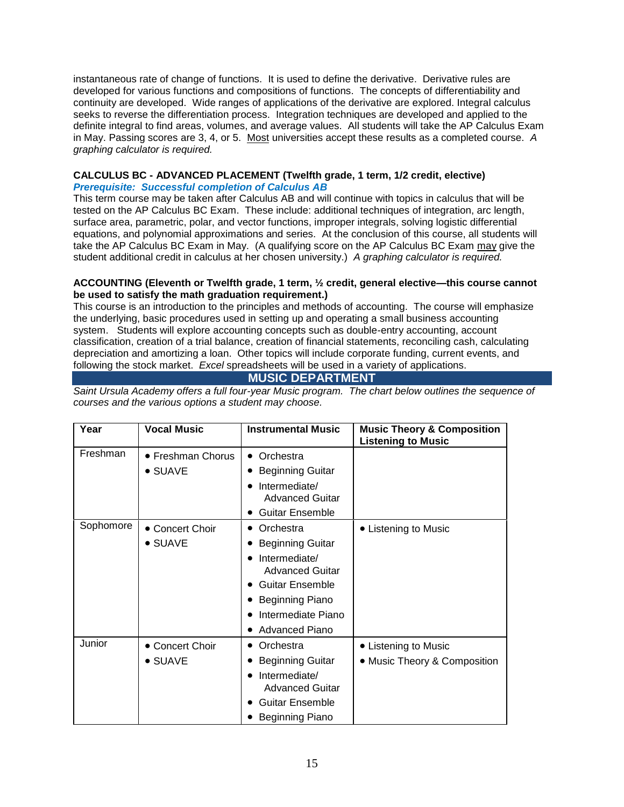instantaneous rate of change of functions. It is used to define the derivative. Derivative rules are developed for various functions and compositions of functions. The concepts of differentiability and continuity are developed. Wide ranges of applications of the derivative are explored. Integral calculus seeks to reverse the differentiation process. Integration techniques are developed and applied to the definite integral to find areas, volumes, and average values. All students will take the AP Calculus Exam in May. Passing scores are 3, 4, or 5. Most universities accept these results as a completed course. *A graphing calculator is required.*

# **CALCULUS BC - ADVANCED PLACEMENT (Twelfth grade, 1 term, 1/2 credit, elective)** *Prerequisite: Successful completion of Calculus AB*

This term course may be taken after Calculus AB and will continue with topics in calculus that will be tested on the AP Calculus BC Exam. These include: additional techniques of integration, arc length, surface area, parametric, polar, and vector functions, improper integrals, solving logistic differential equations, and polynomial approximations and series. At the conclusion of this course, all students will take the AP Calculus BC Exam in May. (A qualifying score on the AP Calculus BC Exam may give the student additional credit in calculus at her chosen university.) *A graphing calculator is required.*

#### **ACCOUNTING (Eleventh or Twelfth grade, 1 term, ½ credit, general elective—this course cannot be used to satisfy the math graduation requirement.)**

This course is an introduction to the principles and methods of accounting. The course will emphasize the underlying, basic procedures used in setting up and operating a small business accounting system. Students will explore accounting concepts such as double-entry accounting, account classification, creation of a trial balance, creation of financial statements, reconciling cash, calculating depreciation and amortizing a loan. Other topics will include corporate funding, current events, and following the stock market. *Excel* spreadsheets will be used in a variety of applications.

# **MUSIC DEPARTMENT**

*Saint Ursula Academy offers a full four-year Music program. The chart below outlines the sequence of courses and the various options a student may choose.*

| Year      | <b>Vocal Music</b> | <b>Instrumental Music</b>                            | <b>Music Theory &amp; Composition</b><br><b>Listening to Music</b> |
|-----------|--------------------|------------------------------------------------------|--------------------------------------------------------------------|
| Freshman  | • Freshman Chorus  | • Orchestra                                          |                                                                    |
|           | • SUAVE            | <b>Beginning Guitar</b>                              |                                                                    |
|           |                    | Intermediate/<br><b>Advanced Guitar</b>              |                                                                    |
|           |                    | <b>Guitar Ensemble</b><br>٠                          |                                                                    |
| Sophomore | • Concert Choir    | Orchestra<br>$\bullet$                               | • Listening to Music                                               |
|           | $\bullet$ SUAVE    | <b>Beginning Guitar</b>                              |                                                                    |
|           |                    | Intermediate/<br><b>Advanced Guitar</b>              |                                                                    |
|           |                    | <b>Guitar Ensemble</b><br>$\bullet$                  |                                                                    |
|           |                    | Beginning Piano                                      |                                                                    |
|           |                    | Intermediate Piano                                   |                                                                    |
|           |                    | <b>Advanced Piano</b><br>$\bullet$                   |                                                                    |
| Junior    | • Concert Choir    | Orchestra                                            | • Listening to Music                                               |
|           | $\bullet$ SUAVE    | <b>Beginning Guitar</b>                              | • Music Theory & Composition                                       |
|           |                    | Intermediate/<br>$\bullet$<br><b>Advanced Guitar</b> |                                                                    |
|           |                    | <b>Guitar Ensemble</b>                               |                                                                    |
|           |                    | Beginning Piano                                      |                                                                    |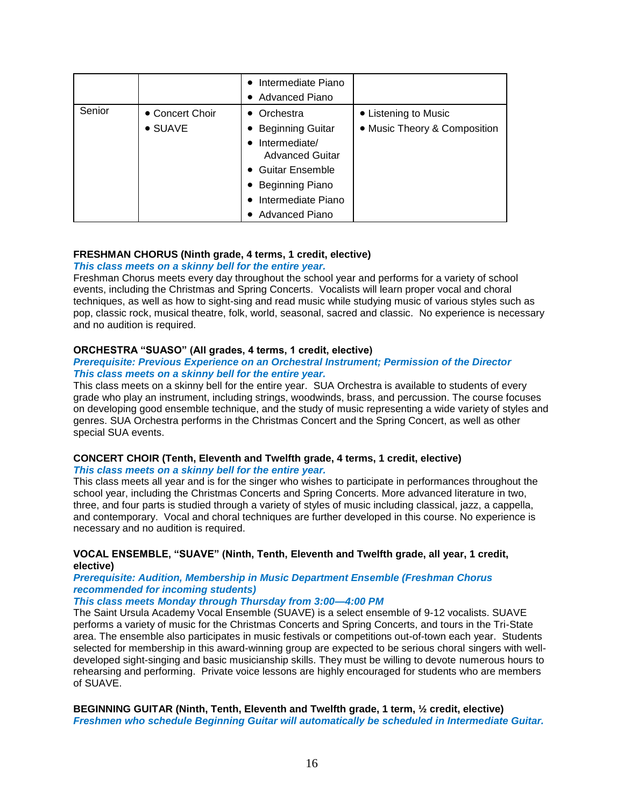|        |                 | Intermediate Piano<br>$\bullet$    |                              |
|--------|-----------------|------------------------------------|------------------------------|
|        |                 | <b>Advanced Piano</b><br>$\bullet$ |                              |
| Senior | • Concert Choir | Orchestra                          | • Listening to Music         |
|        | • SUAVE         | <b>Beginning Guitar</b>            | • Music Theory & Composition |
|        |                 | Intermediate/<br>٠                 |                              |
|        |                 | <b>Advanced Guitar</b>             |                              |
|        |                 | • Guitar Ensemble                  |                              |
|        |                 | • Beginning Piano                  |                              |
|        |                 | Intermediate Piano                 |                              |
|        |                 | Advanced Piano                     |                              |

# **FRESHMAN CHORUS (Ninth grade, 4 terms, 1 credit, elective)**

#### *This class meets on a skinny bell for the entire year.*

Freshman Chorus meets every day throughout the school year and performs for a variety of school events, including the Christmas and Spring Concerts. Vocalists will learn proper vocal and choral techniques, as well as how to sight-sing and read music while studying music of various styles such as pop, classic rock, musical theatre, folk, world, seasonal, sacred and classic. No experience is necessary and no audition is required.

#### **ORCHESTRA "SUASO" (All grades, 4 terms, 1 credit, elective)**

#### *Prerequisite: Previous Experience on an Orchestral Instrument; Permission of the Director This class meets on a skinny bell for the entire year.*

This class meets on a skinny bell for the entire year. SUA Orchestra is available to students of every grade who play an instrument, including strings, woodwinds, brass, and percussion. The course focuses on developing good ensemble technique, and the study of music representing a wide variety of styles and genres. SUA Orchestra performs in the Christmas Concert and the Spring Concert, as well as other special SUA events.

#### **CONCERT CHOIR (Tenth, Eleventh and Twelfth grade, 4 terms, 1 credit, elective)** *This class meets on a skinny bell for the entire year.*

This class meets all year and is for the singer who wishes to participate in performances throughout the school year, including the Christmas Concerts and Spring Concerts. More advanced literature in two, three, and four parts is studied through a variety of styles of music including classical, jazz, a cappella, and contemporary. Vocal and choral techniques are further developed in this course. No experience is necessary and no audition is required.

#### **VOCAL ENSEMBLE, "SUAVE" (Ninth, Tenth, Eleventh and Twelfth grade, all year, 1 credit, elective)**

#### *Prerequisite: Audition, Membership in Music Department Ensemble (Freshman Chorus recommended for incoming students)*

#### *This class meets Monday through Thursday from 3:00—4:00 PM*

The Saint Ursula Academy Vocal Ensemble (SUAVE) is a select ensemble of 9-12 vocalists. SUAVE performs a variety of music for the Christmas Concerts and Spring Concerts, and tours in the Tri-State area. The ensemble also participates in music festivals or competitions out-of-town each year. Students selected for membership in this award-winning group are expected to be serious choral singers with welldeveloped sight-singing and basic musicianship skills. They must be willing to devote numerous hours to rehearsing and performing. Private voice lessons are highly encouraged for students who are members of SUAVE.

**BEGINNING GUITAR (Ninth, Tenth, Eleventh and Twelfth grade, 1 term, ½ credit, elective)** *Freshmen who schedule Beginning Guitar will automatically be scheduled in Intermediate Guitar.*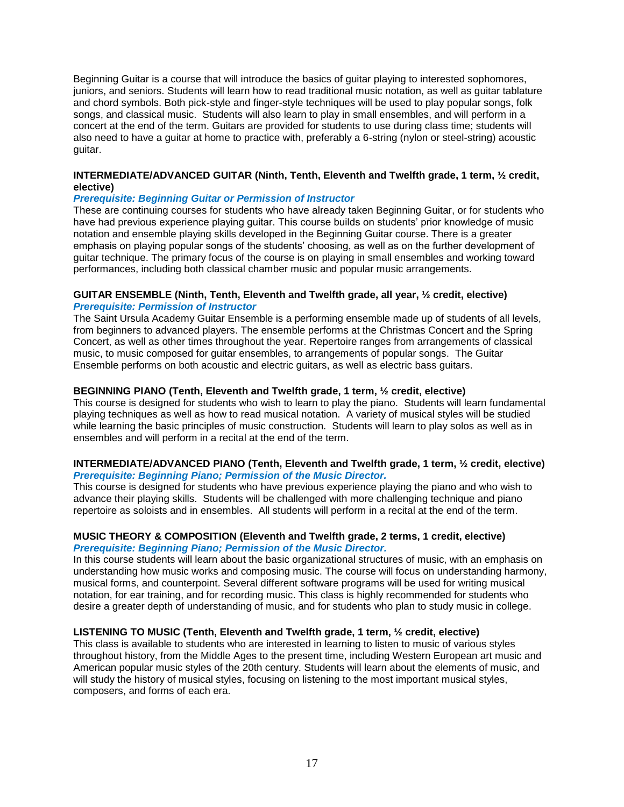Beginning Guitar is a course that will introduce the basics of guitar playing to interested sophomores, juniors, and seniors. Students will learn how to read traditional music notation, as well as guitar tablature and chord symbols. Both pick-style and finger-style techniques will be used to play popular songs, folk songs, and classical music. Students will also learn to play in small ensembles, and will perform in a concert at the end of the term. Guitars are provided for students to use during class time; students will also need to have a guitar at home to practice with, preferably a 6-string (nylon or steel-string) acoustic guitar.

#### **INTERMEDIATE/ADVANCED GUITAR (Ninth, Tenth, Eleventh and Twelfth grade, 1 term, ½ credit, elective)**

#### *Prerequisite: Beginning Guitar or Permission of Instructor*

These are continuing courses for students who have already taken Beginning Guitar, or for students who have had previous experience playing guitar. This course builds on students' prior knowledge of music notation and ensemble playing skills developed in the Beginning Guitar course. There is a greater emphasis on playing popular songs of the students' choosing, as well as on the further development of guitar technique. The primary focus of the course is on playing in small ensembles and working toward performances, including both classical chamber music and popular music arrangements.

#### **GUITAR ENSEMBLE (Ninth, Tenth, Eleventh and Twelfth grade, all year, ½ credit, elective)** *Prerequisite: Permission of Instructor*

The Saint Ursula Academy Guitar Ensemble is a performing ensemble made up of students of all levels, from beginners to advanced players. The ensemble performs at the Christmas Concert and the Spring Concert, as well as other times throughout the year. Repertoire ranges from arrangements of classical music, to music composed for guitar ensembles, to arrangements of popular songs. The Guitar Ensemble performs on both acoustic and electric guitars, as well as electric bass guitars.

#### **BEGINNING PIANO (Tenth, Eleventh and Twelfth grade, 1 term, ½ credit, elective)**

This course is designed for students who wish to learn to play the piano. Students will learn fundamental playing techniques as well as how to read musical notation. A variety of musical styles will be studied while learning the basic principles of music construction. Students will learn to play solos as well as in ensembles and will perform in a recital at the end of the term.

#### **INTERMEDIATE/ADVANCED PIANO (Tenth, Eleventh and Twelfth grade, 1 term, ½ credit, elective)** *Prerequisite: Beginning Piano; Permission of the Music Director.*

This course is designed for students who have previous experience playing the piano and who wish to advance their playing skills. Students will be challenged with more challenging technique and piano repertoire as soloists and in ensembles. All students will perform in a recital at the end of the term.

#### **MUSIC THEORY & COMPOSITION (Eleventh and Twelfth grade, 2 terms, 1 credit, elective)** *Prerequisite: Beginning Piano; Permission of the Music Director.*

In this course students will learn about the basic organizational structures of music, with an emphasis on understanding how music works and composing music. The course will focus on understanding harmony, musical forms, and counterpoint. Several different software programs will be used for writing musical notation, for ear training, and for recording music. This class is highly recommended for students who desire a greater depth of understanding of music, and for students who plan to study music in college.

#### **LISTENING TO MUSIC (Tenth, Eleventh and Twelfth grade, 1 term, ½ credit, elective)**

This class is available to students who are interested in learning to listen to music of various styles throughout history, from the Middle Ages to the present time, including Western European art music and American popular music styles of the 20th century. Students will learn about the elements of music, and will study the history of musical styles, focusing on listening to the most important musical styles, composers, and forms of each era.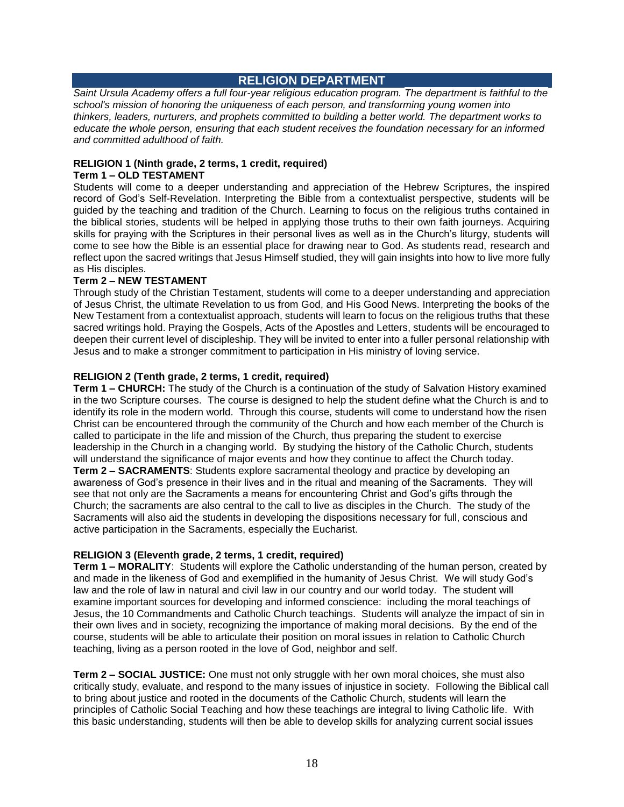# **RELIGION DEPARTMENT**

<span id="page-17-0"></span>*Saint Ursula Academy offers a full four-year religious education program. The department is faithful to the school's mission of honoring the uniqueness of each person, and transforming young women into thinkers, leaders, nurturers, and prophets committed to building a better world. The department works to educate the whole person, ensuring that each student receives the foundation necessary for an informed and committed adulthood of faith.*

#### **RELIGION 1 (Ninth grade, 2 terms, 1 credit, required) Term 1 – OLD TESTAMENT**

Students will come to a deeper understanding and appreciation of the Hebrew Scriptures, the inspired record of God's Self-Revelation. Interpreting the Bible from a contextualist perspective, students will be guided by the teaching and tradition of the Church. Learning to focus on the religious truths contained in the biblical stories, students will be helped in applying those truths to their own faith journeys. Acquiring skills for praying with the Scriptures in their personal lives as well as in the Church's liturgy, students will come to see how the Bible is an essential place for drawing near to God. As students read, research and reflect upon the sacred writings that Jesus Himself studied, they will gain insights into how to live more fully as His disciples.

# **Term 2 – NEW TESTAMENT**

Through study of the Christian Testament, students will come to a deeper understanding and appreciation of Jesus Christ, the ultimate Revelation to us from God, and His Good News. Interpreting the books of the New Testament from a contextualist approach, students will learn to focus on the religious truths that these sacred writings hold. Praying the Gospels, Acts of the Apostles and Letters, students will be encouraged to deepen their current level of discipleship. They will be invited to enter into a fuller personal relationship with Jesus and to make a stronger commitment to participation in His ministry of loving service.

# **RELIGION 2 (Tenth grade, 2 terms, 1 credit, required)**

**Term 1 – CHURCH:** The study of the Church is a continuation of the study of Salvation History examined in the two Scripture courses. The course is designed to help the student define what the Church is and to identify its role in the modern world. Through this course, students will come to understand how the risen Christ can be encountered through the community of the Church and how each member of the Church is called to participate in the life and mission of the Church, thus preparing the student to exercise leadership in the Church in a changing world. By studying the history of the Catholic Church, students will understand the significance of major events and how they continue to affect the Church today. **Term 2 – SACRAMENTS**: Students explore sacramental theology and practice by developing an awareness of God's presence in their lives and in the ritual and meaning of the Sacraments. They will see that not only are the Sacraments a means for encountering Christ and God's gifts through the Church; the sacraments are also central to the call to live as disciples in the Church. The study of the Sacraments will also aid the students in developing the dispositions necessary for full, conscious and active participation in the Sacraments, especially the Eucharist.

# **RELIGION 3 (Eleventh grade, 2 terms, 1 credit, required)**

**Term 1 – MORALITY**: Students will explore the Catholic understanding of the human person, created by and made in the likeness of God and exemplified in the humanity of Jesus Christ. We will study God's law and the role of law in natural and civil law in our country and our world today. The student will examine important sources for developing and informed conscience: including the moral teachings of Jesus, the 10 Commandments and Catholic Church teachings. Students will analyze the impact of sin in their own lives and in society, recognizing the importance of making moral decisions. By the end of the course, students will be able to articulate their position on moral issues in relation to Catholic Church teaching, living as a person rooted in the love of God, neighbor and self.

**Term 2 – SOCIAL JUSTICE:** One must not only struggle with her own moral choices, she must also critically study, evaluate, and respond to the many issues of injustice in society. Following the Biblical call to bring about justice and rooted in the documents of the Catholic Church, students will learn the principles of Catholic Social Teaching and how these teachings are integral to living Catholic life. With this basic understanding, students will then be able to develop skills for analyzing current social issues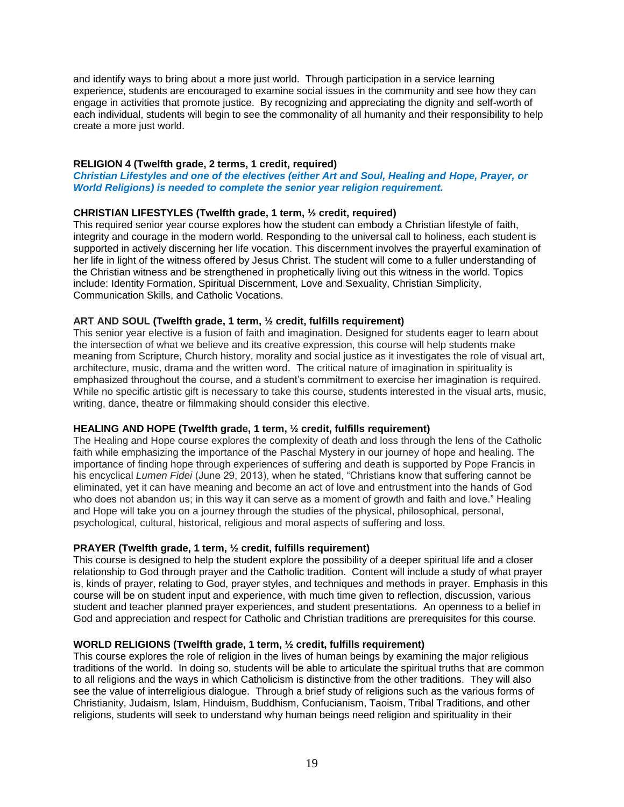and identify ways to bring about a more just world. Through participation in a service learning experience, students are encouraged to examine social issues in the community and see how they can engage in activities that promote justice. By recognizing and appreciating the dignity and self-worth of each individual, students will begin to see the commonality of all humanity and their responsibility to help create a more just world.

# **RELIGION 4 (Twelfth grade, 2 terms, 1 credit, required)**

*Christian Lifestyles and one of the electives (either Art and Soul, Healing and Hope, Prayer, or World Religions) is needed to complete the senior year religion requirement.*

# **CHRISTIAN LIFESTYLES (Twelfth grade, 1 term, ½ credit, required)**

This required senior year course explores how the student can embody a Christian lifestyle of faith, integrity and courage in the modern world. Responding to the universal call to holiness, each student is supported in actively discerning her life vocation. This discernment involves the prayerful examination of her life in light of the witness offered by Jesus Christ. The student will come to a fuller understanding of the Christian witness and be strengthened in prophetically living out this witness in the world. Topics include: Identity Formation, Spiritual Discernment, Love and Sexuality, Christian Simplicity, Communication Skills, and Catholic Vocations.

#### **ART AND SOUL (Twelfth grade, 1 term, ½ credit, fulfills requirement)**

This senior year elective is a fusion of faith and imagination. Designed for students eager to learn about the intersection of what we believe and its creative expression, this course will help students make meaning from Scripture, Church history, morality and social justice as it investigates the role of visual art, architecture, music, drama and the written word. The critical nature of imagination in spirituality is emphasized throughout the course, and a student's commitment to exercise her imagination is required. While no specific artistic gift is necessary to take this course, students interested in the visual arts, music, writing, dance, theatre or filmmaking should consider this elective.

#### **HEALING AND HOPE (Twelfth grade, 1 term, ½ credit, fulfills requirement)**

The Healing and Hope course explores the complexity of death and loss through the lens of the Catholic faith while emphasizing the importance of the Paschal Mystery in our journey of hope and healing. The importance of finding hope through experiences of suffering and death is supported by Pope Francis in his encyclical *Lumen Fidei* (June 29, 2013), when he stated, "Christians know that suffering cannot be eliminated, yet it can have meaning and become an act of love and entrustment into the hands of God who does not abandon us; in this way it can serve as a moment of growth and faith and love." Healing and Hope will take you on a journey through the studies of the physical, philosophical, personal, psychological, cultural, historical, religious and moral aspects of suffering and loss.

#### **PRAYER (Twelfth grade, 1 term, ½ credit, fulfills requirement)**

This course is designed to help the student explore the possibility of a deeper spiritual life and a closer relationship to God through prayer and the Catholic tradition. Content will include a study of what prayer is, kinds of prayer, relating to God, prayer styles, and techniques and methods in prayer. Emphasis in this course will be on student input and experience, with much time given to reflection, discussion, various student and teacher planned prayer experiences, and student presentations. An openness to a belief in God and appreciation and respect for Catholic and Christian traditions are prerequisites for this course.

# **WORLD RELIGIONS (Twelfth grade, 1 term, ½ credit, fulfills requirement)**

This course explores the role of religion in the lives of human beings by examining the major religious traditions of the world. In doing so, students will be able to articulate the spiritual truths that are common to all religions and the ways in which Catholicism is distinctive from the other traditions. They will also see the value of interreligious dialogue. Through a brief study of religions such as the various forms of Christianity, Judaism, Islam, Hinduism, Buddhism, Confucianism, Taoism, Tribal Traditions, and other religions, students will seek to understand why human beings need religion and spirituality in their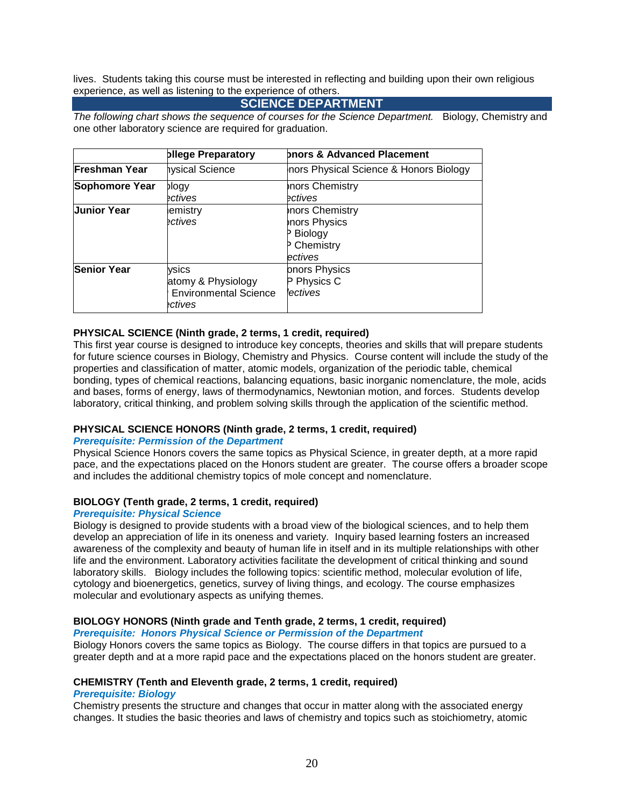lives. Students taking this course must be interested in reflecting and building upon their own religious experience, as well as listening to the experience of others.

# **SCIENCE DEPARTMENT**

*The following chart shows the sequence of courses for the Science Department.* Biology, Chemistry and one other laboratory science are required for graduation.

|                      | bllege Preparatory                                                     | bnors & Advanced Placement                                                       |  |
|----------------------|------------------------------------------------------------------------|----------------------------------------------------------------------------------|--|
| <b>Freshman Year</b> | hysical Science                                                        | nors Physical Science & Honors Biology                                           |  |
| Sophomore Year       | blogy<br>ectives                                                       | <b>nors Chemistry</b><br>ectives                                                 |  |
| <b>Junior Year</b>   | emistry<br>ectives                                                     | nors Chemistry<br>nors Physics<br>P Biology<br><sup>2</sup> Chemistry<br>ectives |  |
| <b>Senior Year</b>   | ysics<br>atomy & Physiology<br><b>Environmental Science</b><br>ectives | onors Physics<br>Physics C<br>lectives                                           |  |

# **PHYSICAL SCIENCE (Ninth grade, 2 terms, 1 credit, required)**

This first year course is designed to introduce key concepts, theories and skills that will prepare students for future science courses in Biology, Chemistry and Physics. Course content will include the study of the properties and classification of matter, atomic models, organization of the periodic table, chemical bonding, types of chemical reactions, balancing equations, basic inorganic nomenclature, the mole, acids and bases, forms of energy, laws of thermodynamics, Newtonian motion, and forces. Students develop laboratory, critical thinking, and problem solving skills through the application of the scientific method.

# **PHYSICAL SCIENCE HONORS (Ninth grade, 2 terms, 1 credit, required)**

#### *Prerequisite: Permission of the Department*

Physical Science Honors covers the same topics as Physical Science, in greater depth, at a more rapid pace, and the expectations placed on the Honors student are greater. The course offers a broader scope and includes the additional chemistry topics of mole concept and nomenclature.

# **BIOLOGY (Tenth grade, 2 terms, 1 credit, required)**

#### *Prerequisite: Physical Science*

Biology is designed to provide students with a broad view of the biological sciences, and to help them develop an appreciation of life in its oneness and variety. Inquiry based learning fosters an increased awareness of the complexity and beauty of human life in itself and in its multiple relationships with other life and the environment. Laboratory activities facilitate the development of critical thinking and sound laboratory skills. Biology includes the following topics: scientific method, molecular evolution of life, cytology and bioenergetics, genetics, survey of living things, and ecology. The course emphasizes molecular and evolutionary aspects as unifying themes.

# **BIOLOGY HONORS (Ninth grade and Tenth grade, 2 terms, 1 credit, required)**

*Prerequisite: Honors Physical Science or Permission of the Department*

Biology Honors covers the same topics as Biology. The course differs in that topics are pursued to a greater depth and at a more rapid pace and the expectations placed on the honors student are greater.

#### **CHEMISTRY (Tenth and Eleventh grade, 2 terms, 1 credit, required)**

#### *Prerequisite: Biology*

Chemistry presents the structure and changes that occur in matter along with the associated energy changes. It studies the basic theories and laws of chemistry and topics such as stoichiometry, atomic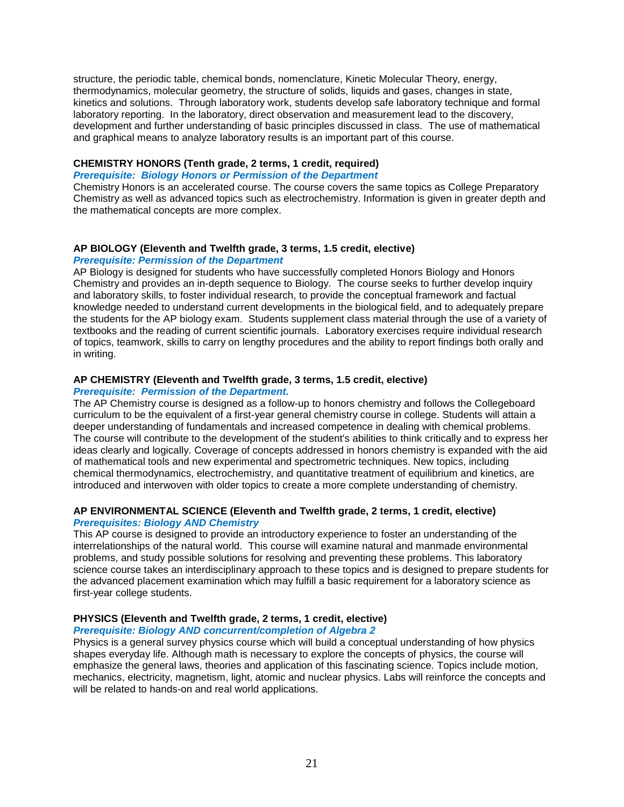structure, the periodic table, chemical bonds, nomenclature, Kinetic Molecular Theory, energy, thermodynamics, molecular geometry, the structure of solids, liquids and gases, changes in state, kinetics and solutions. Through laboratory work, students develop safe laboratory technique and formal laboratory reporting. In the laboratory, direct observation and measurement lead to the discovery, development and further understanding of basic principles discussed in class. The use of mathematical and graphical means to analyze laboratory results is an important part of this course.

#### **CHEMISTRY HONORS (Tenth grade, 2 terms, 1 credit, required)**

#### *Prerequisite: Biology Honors or Permission of the Department*

Chemistry Honors is an accelerated course. The course covers the same topics as College Preparatory Chemistry as well as advanced topics such as electrochemistry. Information is given in greater depth and the mathematical concepts are more complex.

# **AP BIOLOGY (Eleventh and Twelfth grade, 3 terms, 1.5 credit, elective)**

# *Prerequisite: Permission of the Department*

AP Biology is designed for students who have successfully completed Honors Biology and Honors Chemistry and provides an in-depth sequence to Biology. The course seeks to further develop inquiry and laboratory skills, to foster individual research, to provide the conceptual framework and factual knowledge needed to understand current developments in the biological field, and to adequately prepare the students for the AP biology exam. Students supplement class material through the use of a variety of textbooks and the reading of current scientific journals. Laboratory exercises require individual research of topics, teamwork, skills to carry on lengthy procedures and the ability to report findings both orally and in writing.

# **AP CHEMISTRY (Eleventh and Twelfth grade, 3 terms, 1.5 credit, elective)**

#### *Prerequisite: Permission of the Department.*

The AP Chemistry course is designed as a follow-up to honors chemistry and follows the Collegeboard curriculum to be the equivalent of a first-year general chemistry course in college. Students will attain a deeper understanding of fundamentals and increased competence in dealing with chemical problems. The course will contribute to the development of the student's abilities to think critically and to express her ideas clearly and logically. Coverage of concepts addressed in honors chemistry is expanded with the aid of mathematical tools and new experimental and spectrometric techniques. New topics, including chemical thermodynamics, electrochemistry, and quantitative treatment of equilibrium and kinetics, are introduced and interwoven with older topics to create a more complete understanding of chemistry.

# **AP ENVIRONMENTAL SCIENCE (Eleventh and Twelfth grade, 2 terms, 1 credit, elective)** *Prerequisites: Biology AND Chemistry*

This AP course is designed to provide an introductory experience to foster an understanding of the interrelationships of the natural world. This course will examine natural and manmade environmental problems, and study possible solutions for resolving and preventing these problems. This laboratory science course takes an interdisciplinary approach to these topics and is designed to prepare students for the advanced placement examination which may fulfill a basic requirement for a laboratory science as first-year college students.

# **PHYSICS (Eleventh and Twelfth grade, 2 terms, 1 credit, elective)**

#### *Prerequisite: Biology AND concurrent/completion of Algebra 2*

Physics is a general survey physics course which will build a conceptual understanding of how physics shapes everyday life. Although math is necessary to explore the concepts of physics, the course will emphasize the general laws, theories and application of this fascinating science. Topics include motion, mechanics, electricity, magnetism, light, atomic and nuclear physics. Labs will reinforce the concepts and will be related to hands-on and real world applications.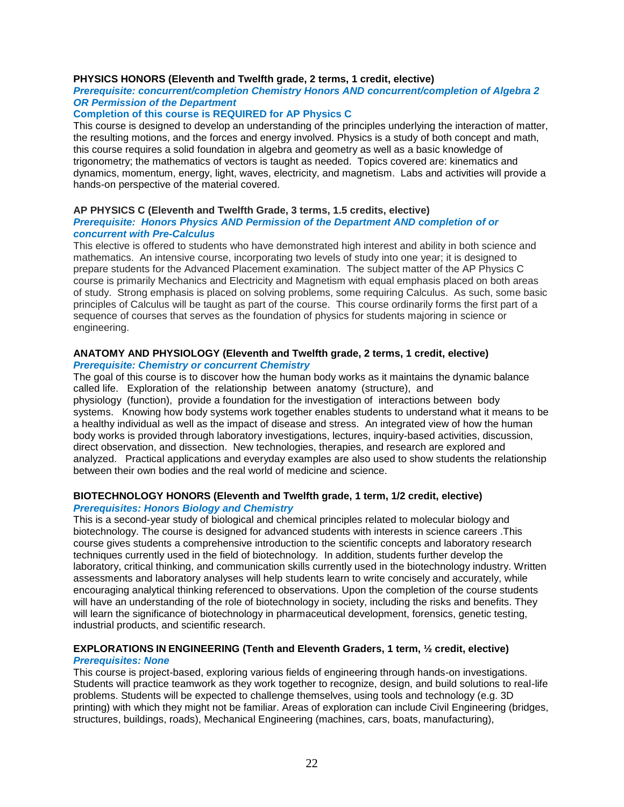### **PHYSICS HONORS (Eleventh and Twelfth grade, 2 terms, 1 credit, elective)**

#### *Prerequisite: concurrent/completion Chemistry Honors AND concurrent/completion of Algebra 2 OR Permission of the Department*

### **Completion of this course is REQUIRED for AP Physics C**

This course is designed to develop an understanding of the principles underlying the interaction of matter, the resulting motions, and the forces and energy involved. Physics is a study of both concept and math, this course requires a solid foundation in algebra and geometry as well as a basic knowledge of trigonometry; the mathematics of vectors is taught as needed. Topics covered are: kinematics and dynamics, momentum, energy, light, waves, electricity, and magnetism. Labs and activities will provide a hands-on perspective of the material covered.

#### **AP PHYSICS C (Eleventh and Twelfth Grade, 3 terms, 1.5 credits, elective)**

#### *Prerequisite: Honors Physics AND Permission of the Department AND completion of or concurrent with Pre-Calculus*

This elective is offered to students who have demonstrated high interest and ability in both science and mathematics. An intensive course, incorporating two levels of study into one year; it is designed to prepare students for the Advanced Placement examination. The subject matter of the AP Physics C course is primarily Mechanics and Electricity and Magnetism with equal emphasis placed on both areas of study. Strong emphasis is placed on solving problems, some requiring Calculus. As such, some basic principles of Calculus will be taught as part of the course. This course ordinarily forms the first part of a sequence of courses that serves as the foundation of physics for students majoring in science or engineering.

#### **ANATOMY AND PHYSIOLOGY (Eleventh and Twelfth grade, 2 terms, 1 credit, elective)**  *Prerequisite: Chemistry or concurrent Chemistry*

The goal of this course is to discover how the human body works as it maintains the dynamic balance called life. Exploration of the relationship between anatomy (structure), and physiology (function), provide a foundation for the investigation of interactions between body systems. Knowing how body systems work together enables students to understand what it means to be a healthy individual as well as the impact of disease and stress. An integrated view of how the human body works is provided through laboratory investigations, lectures, inquiry-based activities, discussion, direct observation, and dissection. New technologies, therapies, and research are explored and analyzed. Practical applications and everyday examples are also used to show students the relationship between their own bodies and the real world of medicine and science.

# **BIOTECHNOLOGY HONORS (Eleventh and Twelfth grade, 1 term, 1/2 credit, elective)**

#### *Prerequisites: Honors Biology and Chemistry*

This is a second-year study of biological and chemical principles related to molecular biology and biotechnology. The course is designed for advanced students with interests in science careers .This course gives students a comprehensive introduction to the scientific concepts and laboratory research techniques currently used in the field of biotechnology. In addition, students further develop the laboratory, critical thinking, and communication skills currently used in the biotechnology industry. Written assessments and laboratory analyses will help students learn to write concisely and accurately, while encouraging analytical thinking referenced to observations. Upon the completion of the course students will have an understanding of the role of biotechnology in society, including the risks and benefits. They will learn the significance of biotechnology in pharmaceutical development, forensics, genetic testing, industrial products, and scientific research.

# **EXPLORATIONS IN ENGINEERING (Tenth and Eleventh Graders, 1 term, ½ credit, elective)**

#### *Prerequisites: None*

This course is project-based, exploring various fields of engineering through hands-on investigations. Students will practice teamwork as they work together to recognize, design, and build solutions to real-life problems. Students will be expected to challenge themselves, using tools and technology (e.g. 3D printing) with which they might not be familiar. Areas of exploration can include Civil Engineering (bridges, structures, buildings, roads), Mechanical Engineering (machines, cars, boats, manufacturing),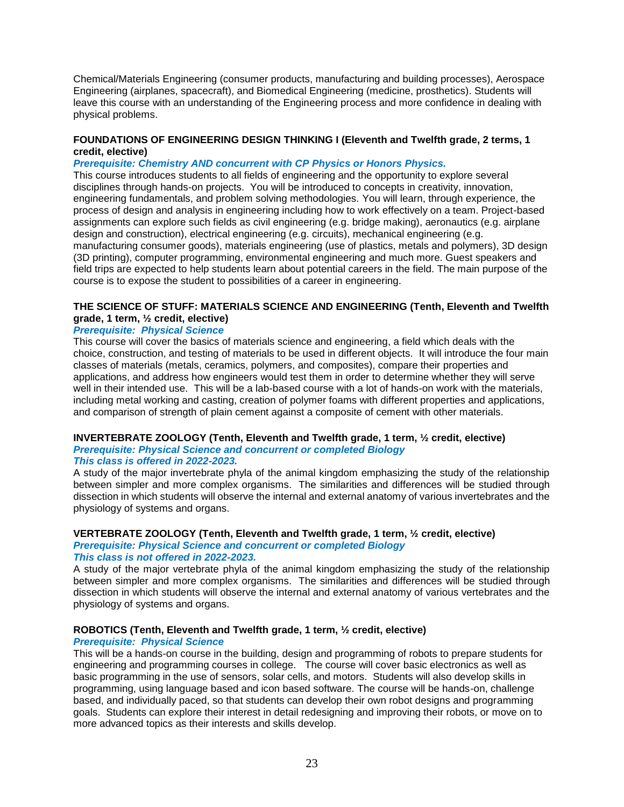Chemical/Materials Engineering (consumer products, manufacturing and building processes), Aerospace Engineering (airplanes, spacecraft), and Biomedical Engineering (medicine, prosthetics). Students will leave this course with an understanding of the Engineering process and more confidence in dealing with physical problems.

#### **FOUNDATIONS OF ENGINEERING DESIGN THINKING I (Eleventh and Twelfth grade, 2 terms, 1 credit, elective)**

### *Prerequisite: Chemistry AND concurrent with CP Physics or Honors Physics.*

This course introduces students to all fields of engineering and the opportunity to explore several disciplines through hands-on projects. You will be introduced to concepts in creativity, innovation, engineering fundamentals, and problem solving methodologies. You will learn, through experience, the process of design and analysis in engineering including how to work effectively on a team. Project-based assignments can explore such fields as civil engineering (e.g. bridge making), aeronautics (e.g. airplane design and construction), electrical engineering (e.g. circuits), mechanical engineering (e.g. manufacturing consumer goods), materials engineering (use of plastics, metals and polymers), 3D design (3D printing), computer programming, environmental engineering and much more. Guest speakers and field trips are expected to help students learn about potential careers in the field. The main purpose of the course is to expose the student to possibilities of a career in engineering.

# **THE SCIENCE OF STUFF: MATERIALS SCIENCE AND ENGINEERING (Tenth, Eleventh and Twelfth grade, 1 term, ½ credit, elective)**

# *Prerequisite: Physical Science*

This course will cover the basics of materials science and engineering, a field which deals with the choice, construction, and testing of materials to be used in different objects. It will introduce the four main classes of materials (metals, ceramics, polymers, and composites), compare their properties and applications, and address how engineers would test them in order to determine whether they will serve well in their intended use. This will be a lab-based course with a lot of hands-on work with the materials, including metal working and casting, creation of polymer foams with different properties and applications, and comparison of strength of plain cement against a composite of cement with other materials.

# **INVERTEBRATE ZOOLOGY (Tenth, Eleventh and Twelfth grade, 1 term, ½ credit, elective)** *Prerequisite: Physical Science and concurrent or completed Biology*

# *This class is offered in 2022-2023.*

A study of the major invertebrate phyla of the animal kingdom emphasizing the study of the relationship between simpler and more complex organisms. The similarities and differences will be studied through dissection in which students will observe the internal and external anatomy of various invertebrates and the physiology of systems and organs.

# **VERTEBRATE ZOOLOGY (Tenth, Eleventh and Twelfth grade, 1 term, ½ credit, elective)**

#### *Prerequisite: Physical Science and concurrent or completed Biology This class is not offered in 2022-2023.*

A study of the major vertebrate phyla of the animal kingdom emphasizing the study of the relationship between simpler and more complex organisms. The similarities and differences will be studied through dissection in which students will observe the internal and external anatomy of various vertebrates and the physiology of systems and organs.

# **ROBOTICS (Tenth, Eleventh and Twelfth grade, 1 term, ½ credit, elective)**

#### *Prerequisite: Physical Science*

This will be a hands-on course in the building, design and programming of robots to prepare students for engineering and programming courses in college. The course will cover basic electronics as well as basic programming in the use of sensors, solar cells, and motors. Students will also develop skills in programming, using language based and icon based software. The course will be hands-on, challenge based, and individually paced, so that students can develop their own robot designs and programming goals. Students can explore their interest in detail redesigning and improving their robots, or move on to more advanced topics as their interests and skills develop.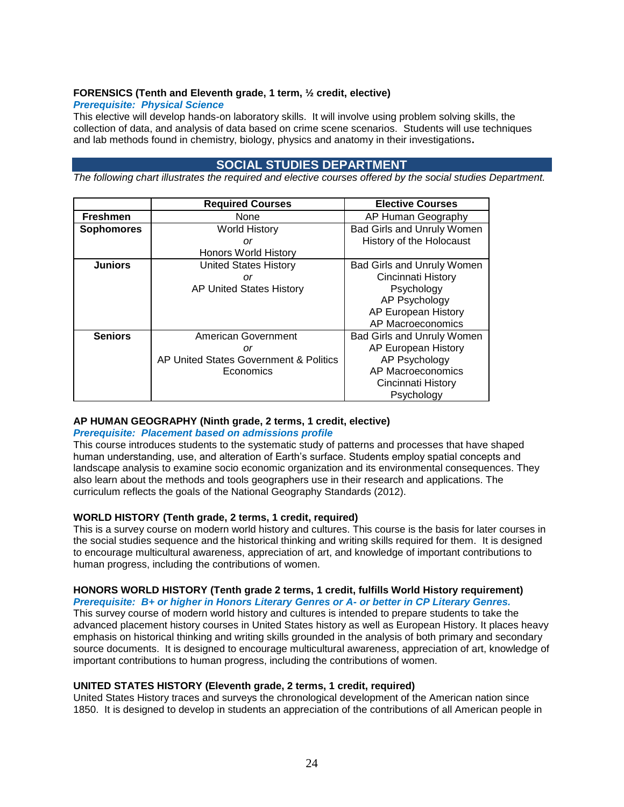# **FORENSICS (Tenth and Eleventh grade, 1 term, ½ credit, elective)**

### *Prerequisite: Physical Science*

This elective will develop hands-on laboratory skills. It will involve using problem solving skills, the collection of data, and analysis of data based on crime scene scenarios. Students will use techniques and lab methods found in chemistry, biology, physics and anatomy in their investigations**.**

# **SOCIAL STUDIES DEPARTMENT**

<span id="page-23-0"></span>*The following chart illustrates the required and elective courses offered by the social studies Department.*

|                   | <b>Required Courses</b>                | <b>Elective Courses</b>           |
|-------------------|----------------------------------------|-----------------------------------|
| <b>Freshmen</b>   | None                                   | AP Human Geography                |
| <b>Sophomores</b> | <b>World History</b>                   | Bad Girls and Unruly Women        |
|                   | or                                     | History of the Holocaust          |
|                   | <b>Honors World History</b>            |                                   |
| <b>Juniors</b>    | <b>United States History</b>           | <b>Bad Girls and Unruly Women</b> |
|                   | or                                     | Cincinnati History                |
|                   | <b>AP United States History</b>        | Psychology                        |
|                   |                                        | AP Psychology                     |
|                   |                                        | AP European History               |
|                   |                                        | AP Macroeconomics                 |
| <b>Seniors</b>    | American Government                    | <b>Bad Girls and Unruly Women</b> |
|                   | or                                     | AP European History               |
|                   | AP United States Government & Politics | AP Psychology                     |
|                   | Economics                              | AP Macroeconomics                 |
|                   |                                        | Cincinnati History                |
|                   |                                        | Psychology                        |

# **AP HUMAN GEOGRAPHY (Ninth grade, 2 terms, 1 credit, elective)**

# *Prerequisite: Placement based on admissions profile*

This course introduces students to the systematic study of patterns and processes that have shaped human understanding, use, and alteration of Earth's surface. Students employ spatial concepts and landscape analysis to examine socio economic organization and its environmental consequences. They also learn about the methods and tools geographers use in their research and applications. The curriculum reflects the goals of the National Geography Standards (2012).

# **WORLD HISTORY (Tenth grade, 2 terms, 1 credit, required)**

This is a survey course on modern world history and cultures. This course is the basis for later courses in the social studies sequence and the historical thinking and writing skills required for them. It is designed to encourage multicultural awareness, appreciation of art, and knowledge of important contributions to human progress, including the contributions of women.

# **HONORS WORLD HISTORY (Tenth grade 2 terms, 1 credit, fulfills World History requirement)**

*Prerequisite: B+ or higher in Honors Literary Genres or A- or better in CP Literary Genres.* This survey course of modern world history and cultures is intended to prepare students to take the advanced placement history courses in United States history as well as European History. It places heavy emphasis on historical thinking and writing skills grounded in the analysis of both primary and secondary source documents. It is designed to encourage multicultural awareness, appreciation of art, knowledge of important contributions to human progress, including the contributions of women.

#### **UNITED STATES HISTORY (Eleventh grade, 2 terms, 1 credit, required)**

United States History traces and surveys the chronological development of the American nation since 1850. It is designed to develop in students an appreciation of the contributions of all American people in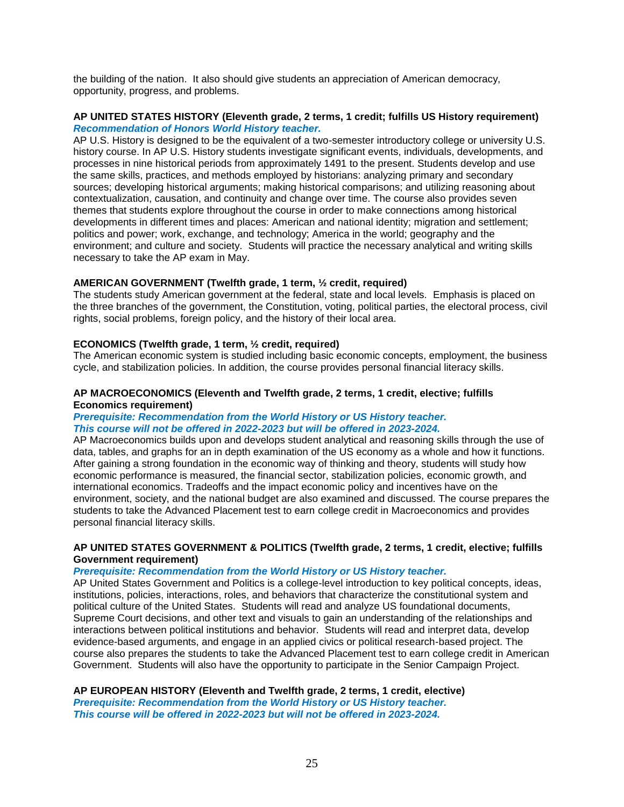the building of the nation. It also should give students an appreciation of American democracy, opportunity, progress, and problems.

# **AP UNITED STATES HISTORY (Eleventh grade, 2 terms, 1 credit; fulfills US History requirement)** *Recommendation of Honors World History teacher.*

AP U.S. History is designed to be the equivalent of a two-semester introductory college or university U.S. history course. In AP U.S. History students investigate significant events, individuals, developments, and processes in nine historical periods from approximately 1491 to the present. Students develop and use the same skills, practices, and methods employed by historians: analyzing primary and secondary sources; developing historical arguments; making historical comparisons; and utilizing reasoning about contextualization, causation, and continuity and change over time. The course also provides seven themes that students explore throughout the course in order to make connections among historical developments in different times and places: American and national identity; migration and settlement; politics and power; work, exchange, and technology; America in the world; geography and the environment; and culture and society. Students will practice the necessary analytical and writing skills necessary to take the AP exam in May.

# **AMERICAN GOVERNMENT (Twelfth grade, 1 term, ½ credit, required)**

The students study American government at the federal, state and local levels. Emphasis is placed on the three branches of the government, the Constitution, voting, political parties, the electoral process, civil rights, social problems, foreign policy, and the history of their local area.

# **ECONOMICS (Twelfth grade, 1 term, ½ credit, required)**

The American economic system is studied including basic economic concepts, employment, the business cycle, and stabilization policies. In addition, the course provides personal financial literacy skills.

#### **AP MACROECONOMICS (Eleventh and Twelfth grade, 2 terms, 1 credit, elective; fulfills Economics requirement)**

#### *Prerequisite: Recommendation from the World History or US History teacher. This course will not be offered in 2022-2023 but will be offered in 2023-2024.*

AP Macroeconomics builds upon and develops student analytical and reasoning skills through the use of data, tables, and graphs for an in depth examination of the US economy as a whole and how it functions. After gaining a strong foundation in the economic way of thinking and theory, students will study how economic performance is measured, the financial sector, stabilization policies, economic growth, and international economics. Tradeoffs and the impact economic policy and incentives have on the environment, society, and the national budget are also examined and discussed. The course prepares the students to take the Advanced Placement test to earn college credit in Macroeconomics and provides personal financial literacy skills.

#### **AP UNITED STATES GOVERNMENT & POLITICS (Twelfth grade, 2 terms, 1 credit, elective; fulfills Government requirement)**

# *Prerequisite: Recommendation from the World History or US History teacher.*

AP United States Government and Politics is a college-level introduction to key political concepts, ideas, institutions, policies, interactions, roles, and behaviors that characterize the constitutional system and political culture of the United States. Students will read and analyze US foundational documents, Supreme Court decisions, and other text and visuals to gain an understanding of the relationships and interactions between political institutions and behavior. Students will read and interpret data, develop evidence-based arguments, and engage in an applied civics or political research-based project. The course also prepares the students to take the Advanced Placement test to earn college credit in American Government. Students will also have the opportunity to participate in the Senior Campaign Project.

#### **AP EUROPEAN HISTORY (Eleventh and Twelfth grade, 2 terms, 1 credit, elective)** *Prerequisite: Recommendation from the World History or US History teacher. This course will be offered in 2022-2023 but will not be offered in 2023-2024.*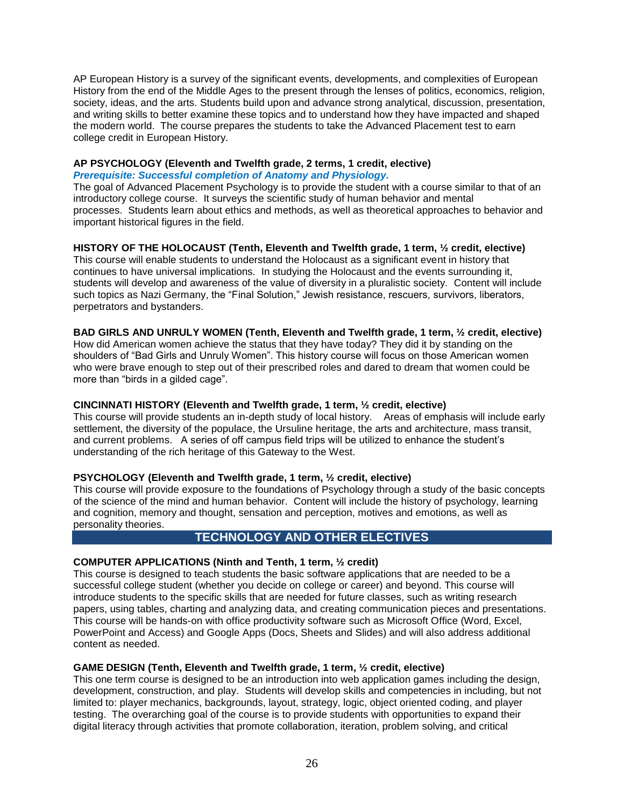AP European History is a survey of the significant events, developments, and complexities of European History from the end of the Middle Ages to the present through the lenses of politics, economics, religion, society, ideas, and the arts. Students build upon and advance strong analytical, discussion, presentation, and writing skills to better examine these topics and to understand how they have impacted and shaped the modern world. The course prepares the students to take the Advanced Placement test to earn college credit in European History.

#### **AP PSYCHOLOGY (Eleventh and Twelfth grade, 2 terms, 1 credit, elective)** *Prerequisite: Successful completion of Anatomy and Physiology.*

The goal of Advanced Placement Psychology is to provide the student with a course similar to that of an introductory college course. It surveys the scientific study of human behavior and mental processes. Students learn about ethics and methods, as well as theoretical approaches to behavior and important historical figures in the field.

# **HISTORY OF THE HOLOCAUST (Tenth, Eleventh and Twelfth grade, 1 term, ½ credit, elective)**

This course will enable students to understand the Holocaust as a significant event in history that continues to have universal implications. In studying the Holocaust and the events surrounding it, students will develop and awareness of the value of diversity in a pluralistic society. Content will include such topics as Nazi Germany, the "Final Solution," Jewish resistance, rescuers, survivors, liberators, perpetrators and bystanders.

# **BAD GIRLS AND UNRULY WOMEN (Tenth, Eleventh and Twelfth grade, 1 term, ½ credit, elective)**

How did American women achieve the status that they have today? They did it by standing on the shoulders of "Bad Girls and Unruly Women". This history course will focus on those American women who were brave enough to step out of their prescribed roles and dared to dream that women could be more than "birds in a gilded cage".

# **CINCINNATI HISTORY (Eleventh and Twelfth grade, 1 term, ½ credit, elective)**

This course will provide students an in-depth study of local history. Areas of emphasis will include early settlement, the diversity of the populace, the Ursuline heritage, the arts and architecture, mass transit, and current problems. A series of off campus field trips will be utilized to enhance the student's understanding of the rich heritage of this Gateway to the West.

# **PSYCHOLOGY (Eleventh and Twelfth grade, 1 term, ½ credit, elective)**

This course will provide exposure to the foundations of Psychology through a study of the basic concepts of the science of the mind and human behavior. Content will include the history of psychology, learning and cognition, memory and thought, sensation and perception, motives and emotions, as well as personality theories.

# **TECHNOLOGY AND OTHER ELECTIVES**

# **COMPUTER APPLICATIONS (Ninth and Tenth, 1 term, ½ credit)**

This course is designed to teach students the basic software applications that are needed to be a successful college student (whether you decide on college or career) and beyond. This course will introduce students to the specific skills that are needed for future classes, such as writing research papers, using tables, charting and analyzing data, and creating communication pieces and presentations. This course will be hands-on with office productivity software such as Microsoft Office (Word, Excel, PowerPoint and Access) and Google Apps (Docs, Sheets and Slides) and will also address additional content as needed.

# **GAME DESIGN (Tenth, Eleventh and Twelfth grade, 1 term, ½ credit, elective)**

This one term course is designed to be an introduction into web application games including the design, development, construction, and play. Students will develop skills and competencies in including, but not limited to: player mechanics, backgrounds, layout, strategy, logic, object oriented coding, and player testing. The overarching goal of the course is to provide students with opportunities to expand their digital literacy through activities that promote collaboration, iteration, problem solving, and critical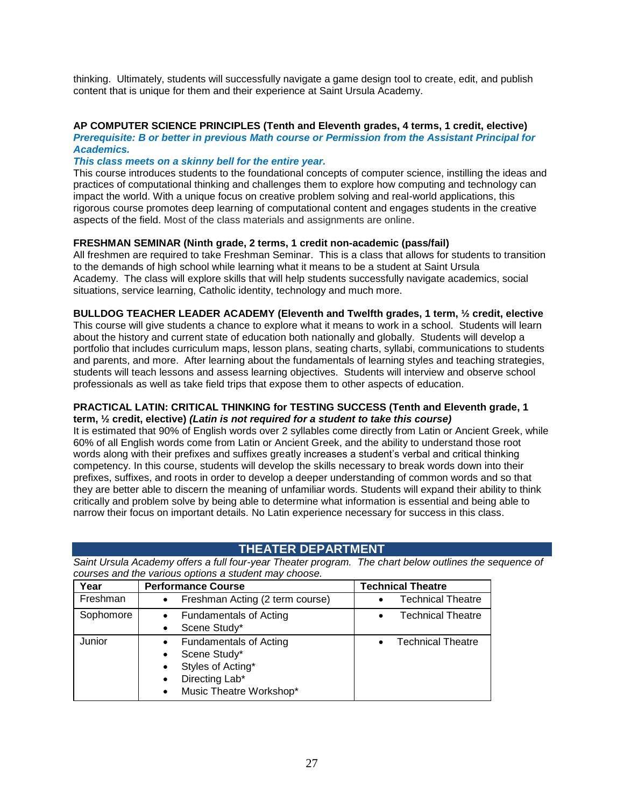thinking. Ultimately, students will successfully navigate a game design tool to create, edit, and publish content that is unique for them and their experience at Saint Ursula Academy.

# **AP COMPUTER SCIENCE PRINCIPLES (Tenth and Eleventh grades, 4 terms, 1 credit, elective)**

*Prerequisite: B or better in previous Math course or Permission from the Assistant Principal for Academics.*

#### *This class meets on a skinny bell for the entire year.*

This course introduces students to the foundational concepts of computer science, instilling the ideas and practices of computational thinking and challenges them to explore how computing and technology can impact the world. With a unique focus on creative problem solving and real-world applications, this rigorous course promotes deep learning of computational content and engages students in the creative aspects of the field. Most of the class materials and assignments are online.

# **FRESHMAN SEMINAR (Ninth grade, 2 terms, 1 credit non-academic (pass/fail)**

All freshmen are required to take Freshman Seminar. This is a class that allows for students to transition to the demands of high school while learning what it means to be a student at Saint Ursula Academy. The class will explore skills that will help students successfully navigate academics, social situations, service learning, Catholic identity, technology and much more.

# **BULLDOG TEACHER LEADER ACADEMY (Eleventh and Twelfth grades, 1 term, ½ credit, elective**

This course will give students a chance to explore what it means to work in a school. Students will learn about the history and current state of education both nationally and globally. Students will develop a portfolio that includes curriculum maps, lesson plans, seating charts, syllabi, communications to students and parents, and more. After learning about the fundamentals of learning styles and teaching strategies. students will teach lessons and assess learning objectives. Students will interview and observe school professionals as well as take field trips that expose them to other aspects of education.

#### **PRACTICAL LATIN: CRITICAL THINKING for TESTING SUCCESS (Tenth and Eleventh grade, 1 term, ½ credit, elective)** *(Latin is not required for a student to take this course)*

It is estimated that 90% of English words over 2 syllables come directly from Latin or Ancient Greek, while 60% of all English words come from Latin or Ancient Greek, and the ability to understand those root words along with their prefixes and suffixes greatly increases a student's verbal and critical thinking competency. In this course, students will develop the skills necessary to break words down into their prefixes, suffixes, and roots in order to develop a deeper understanding of common words and so that they are better able to discern the meaning of unfamiliar words. Students will expand their ability to think critically and problem solve by being able to determine what information is essential and being able to narrow their focus on important details. No Latin experience necessary for success in this class.

# **THEATER DEPARTMENT**

<span id="page-26-0"></span>*Saint Ursula Academy offers a full four-year Theater program. The chart below outlines the sequence of courses and the various options a student may choose.*

| Year      | <b>Performance Course</b>                                                                                                                                                        | <b>Technical Theatre</b> |
|-----------|----------------------------------------------------------------------------------------------------------------------------------------------------------------------------------|--------------------------|
| Freshman  | Freshman Acting (2 term course)<br>$\bullet$                                                                                                                                     | <b>Technical Theatre</b> |
| Sophomore | <b>Fundamentals of Acting</b><br>$\bullet$<br>Scene Study*<br>$\bullet$                                                                                                          | <b>Technical Theatre</b> |
| Junior    | <b>Fundamentals of Acting</b><br>$\bullet$<br>Scene Study*<br>$\bullet$<br>Styles of Acting*<br>$\bullet$<br>Directing Lab*<br>$\bullet$<br>Music Theatre Workshop*<br>$\bullet$ | <b>Technical Theatre</b> |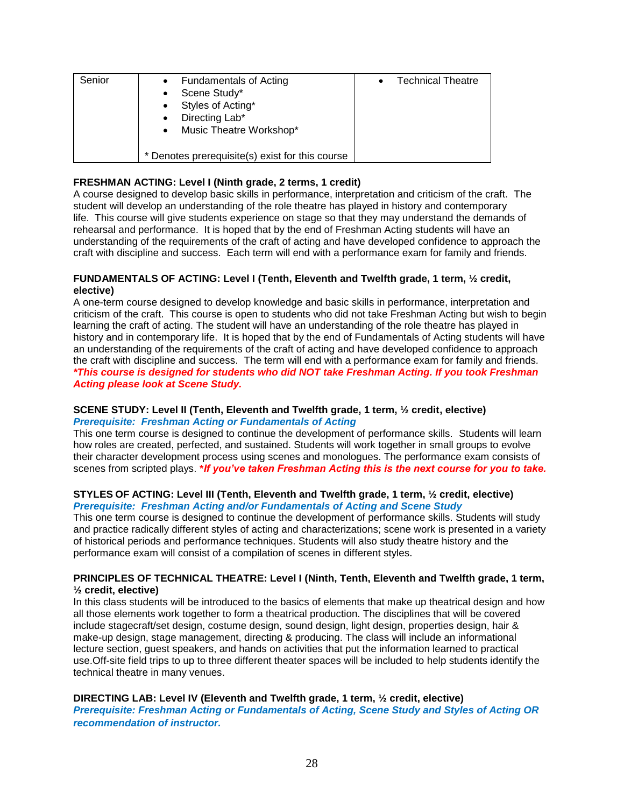| Senior | <b>Fundamentals of Acting</b><br>$\bullet$<br>Scene Study*<br>$\bullet$<br>Styles of Acting*<br>$\bullet$<br>Directing Lab*<br>$\bullet$<br>Music Theatre Workshop*<br>$\bullet$ | <b>Technical Theatre</b> |
|--------|----------------------------------------------------------------------------------------------------------------------------------------------------------------------------------|--------------------------|
|        | * Denotes prerequisite(s) exist for this course                                                                                                                                  |                          |

# **FRESHMAN ACTING: Level I (Ninth grade, 2 terms, 1 credit)**

A course designed to develop basic skills in performance, interpretation and criticism of the craft. The student will develop an understanding of the role theatre has played in history and contemporary life. This course will give students experience on stage so that they may understand the demands of rehearsal and performance. It is hoped that by the end of Freshman Acting students will have an understanding of the requirements of the craft of acting and have developed confidence to approach the craft with discipline and success. Each term will end with a performance exam for family and friends.

# **FUNDAMENTALS OF ACTING: Level I (Tenth, Eleventh and Twelfth grade, 1 term, ½ credit, elective)**

A one-term course designed to develop knowledge and basic skills in performance, interpretation and criticism of the craft. This course is open to students who did not take Freshman Acting but wish to begin learning the craft of acting. The student will have an understanding of the role theatre has played in history and in contemporary life. It is hoped that by the end of Fundamentals of Acting students will have an understanding of the requirements of the craft of acting and have developed confidence to approach the craft with discipline and success. The term will end with a performance exam for family and friends*. \*This course is designed for students who did NOT take Freshman Acting. If you took Freshman Acting please look at Scene Study.*

# **SCENE STUDY: Level II (Tenth, Eleventh and Twelfth grade, 1 term, ½ credit, elective)** *Prerequisite: Freshman Acting or Fundamentals of Acting*

This one term course is designed to continue the development of performance skills. Students will learn how roles are created, perfected, and sustained. Students will work together in small groups to evolve their character development process using scenes and monologues. The performance exam consists of scenes from scripted plays. **\****If you've taken Freshman Acting this is the next course for you to take.*

#### **STYLES OF ACTING: Level III (Tenth, Eleventh and Twelfth grade, 1 term, ½ credit, elective)** *Prerequisite: Freshman Acting and/or Fundamentals of Acting and Scene Study*

This one term course is designed to continue the development of performance skills. Students will study and practice radically different styles of acting and characterizations; scene work is presented in a variety of historical periods and performance techniques. Students will also study theatre history and the performance exam will consist of a compilation of scenes in different styles.

# **PRINCIPLES OF TECHNICAL THEATRE: Level I (Ninth, Tenth, Eleventh and Twelfth grade, 1 term, ½ credit, elective)**

In this class students will be introduced to the basics of elements that make up theatrical design and how all those elements work together to form a theatrical production. The disciplines that will be covered include stagecraft/set design, costume design, sound design, light design, properties design, hair & make-up design, stage management, directing & producing. The class will include an informational lecture section, guest speakers, and hands on activities that put the information learned to practical use.Off-site field trips to up to three different theater spaces will be included to help students identify the technical theatre in many venues.

# **DIRECTING LAB: Level IV (Eleventh and Twelfth grade, 1 term, ½ credit, elective)**

*Prerequisite: Freshman Acting or Fundamentals of Acting, Scene Study and Styles of Acting OR recommendation of instructor.*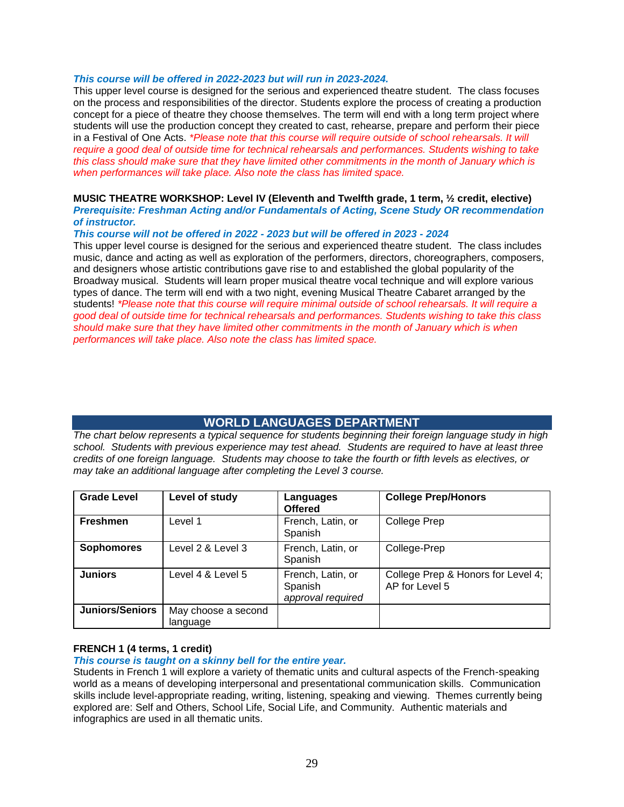#### *This course will be offered in 2022-2023 but will run in 2023-2024.*

This upper level course is designed for the serious and experienced theatre student. The class focuses on the process and responsibilities of the director. Students explore the process of creating a production concept for a piece of theatre they choose themselves. The term will end with a long term project where students will use the production concept they created to cast, rehearse, prepare and perform their piece in a Festival of One Acts. *\*Please note that this course will require outside of school rehearsals. It will require a good deal of outside time for technical rehearsals and performances. Students wishing to take this class should make sure that they have limited other commitments in the month of January which is when performances will take place. Also note the class has limited space.*

#### **MUSIC THEATRE WORKSHOP: Level IV (Eleventh and Twelfth grade, 1 term, ½ credit, elective)** *Prerequisite: Freshman Acting and/or Fundamentals of Acting, Scene Study OR recommendation of instructor.*

#### *This course will not be offered in 2022 - 2023 but will be offered in 2023 - 2024*

This upper level course is designed for the serious and experienced theatre student. The class includes music, dance and acting as well as exploration of the performers, directors, choreographers, composers, and designers whose artistic contributions gave rise to and established the global popularity of the Broadway musical. Students will learn proper musical theatre vocal technique and will explore various types of dance. The term will end with a two night, evening Musical Theatre Cabaret arranged by the students! *\*Please note that this course will require minimal outside of school rehearsals. It will require a good deal of outside time for technical rehearsals and performances. Students wishing to take this class should make sure that they have limited other commitments in the month of January which is when performances will take place. Also note the class has limited space.*

# **WORLD LANGUAGES DEPARTMENT**

<span id="page-28-0"></span>*The chart below represents a typical sequence for students beginning their foreign language study in high school. Students with previous experience may test ahead. Students are required to have at least three credits of one foreign language. Students may choose to take the fourth or fifth levels as electives, or may take an additional language after completing the Level 3 course.*

| <b>Grade Level</b>     | Level of study                  | Languages<br><b>Offered</b>                       | <b>College Prep/Honors</b>                           |
|------------------------|---------------------------------|---------------------------------------------------|------------------------------------------------------|
| <b>Freshmen</b>        | Level 1                         | French, Latin, or<br>Spanish                      | <b>College Prep</b>                                  |
| <b>Sophomores</b>      | Level 2 & Level 3               | French, Latin, or<br>Spanish                      | College-Prep                                         |
| <b>Juniors</b>         | Level 4 & Level 5               | French, Latin, or<br>Spanish<br>approval required | College Prep & Honors for Level 4;<br>AP for Level 5 |
| <b>Juniors/Seniors</b> | May choose a second<br>language |                                                   |                                                      |

#### **FRENCH 1 (4 terms, 1 credit)**

#### *This course is taught on a skinny bell for the entire year.*

Students in French 1 will explore a variety of thematic units and cultural aspects of the French-speaking world as a means of developing interpersonal and presentational communication skills. Communication skills include level-appropriate reading, writing, listening, speaking and viewing. Themes currently being explored are: Self and Others, School Life, Social Life, and Community. Authentic materials and infographics are used in all thematic units.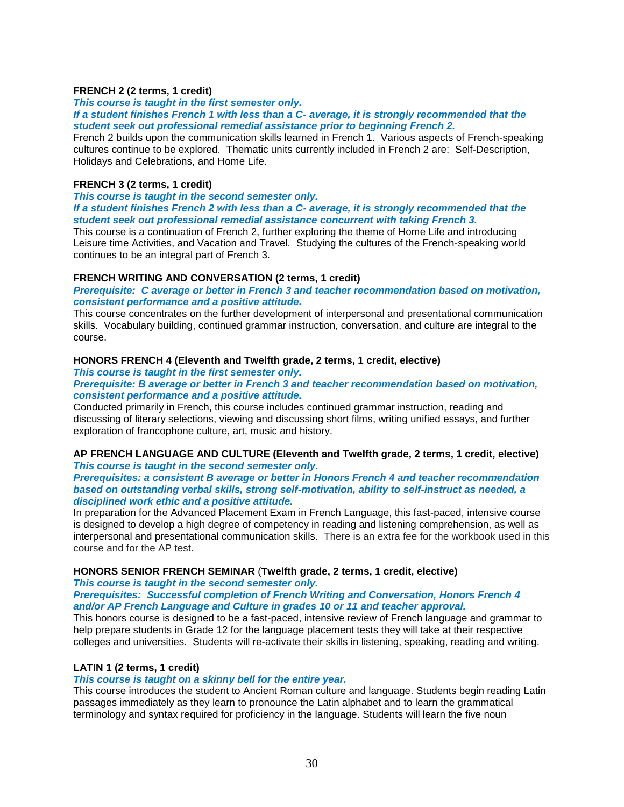### **FRENCH 2 (2 terms, 1 credit)**

*This course is taught in the first semester only.*

*If a student finishes French 1 with less than a C- average, it is strongly recommended that the student seek out professional remedial assistance prior to beginning French 2.*

French 2 builds upon the communication skills learned in French 1. Various aspects of French-speaking cultures continue to be explored. Thematic units currently included in French 2 are: Self-Description, Holidays and Celebrations, and Home Life.

# **FRENCH 3 (2 terms, 1 credit)**

*This course is taught in the second semester only.*

*If a student finishes French 2 with less than a C- average, it is strongly recommended that the student seek out professional remedial assistance concurrent with taking French 3.*

This course is a continuation of French 2, further exploring the theme of Home Life and introducing Leisure time Activities, and Vacation and Travel. Studying the cultures of the French-speaking world continues to be an integral part of French 3.

# **FRENCH WRITING AND CONVERSATION (2 terms, 1 credit)**

*Prerequisite: C average or better in French 3 and teacher recommendation based on motivation, consistent performance and a positive attitude.*

This course concentrates on the further development of interpersonal and presentational communication skills. Vocabulary building, continued grammar instruction, conversation, and culture are integral to the course.

# **HONORS FRENCH 4 (Eleventh and Twelfth grade, 2 terms, 1 credit, elective)**

*This course is taught in the first semester only.*

*Prerequisite: B average or better in French 3 and teacher recommendation based on motivation, consistent performance and a positive attitude.*

Conducted primarily in French, this course includes continued grammar instruction, reading and discussing of literary selections, viewing and discussing short films, writing unified essays, and further exploration of francophone culture, art, music and history.

**AP FRENCH LANGUAGE AND CULTURE (Eleventh and Twelfth grade, 2 terms, 1 credit, elective)** *This course is taught in the second semester only.*

*Prerequisites: a consistent B average or better in Honors French 4 and teacher recommendation based on outstanding verbal skills, strong self-motivation, ability to self-instruct as needed, a disciplined work ethic and a positive attitude.*

In preparation for the Advanced Placement Exam in French Language, this fast-paced, intensive course is designed to develop a high degree of competency in reading and listening comprehension, as well as interpersonal and presentational communication skills. There is an extra fee for the workbook used in this course and for the AP test.

#### **HONORS SENIOR FRENCH SEMINAR** (**Twelfth grade, 2 terms, 1 credit, elective)**

*This course is taught in the second semester only.*

*Prerequisites: Successful completion of French Writing and Conversation, Honors French 4 and/or AP French Language and Culture in grades 10 or 11 and teacher approval.*

This honors course is designed to be a fast-paced, intensive review of French language and grammar to help prepare students in Grade 12 for the language placement tests they will take at their respective colleges and universities. Students will re-activate their skills in listening, speaking, reading and writing.

# **LATIN 1 (2 terms, 1 credit)**

#### *This course is taught on a skinny bell for the entire year.*

This course introduces the student to Ancient Roman culture and language. Students begin reading Latin passages immediately as they learn to pronounce the Latin alphabet and to learn the grammatical terminology and syntax required for proficiency in the language. Students will learn the five noun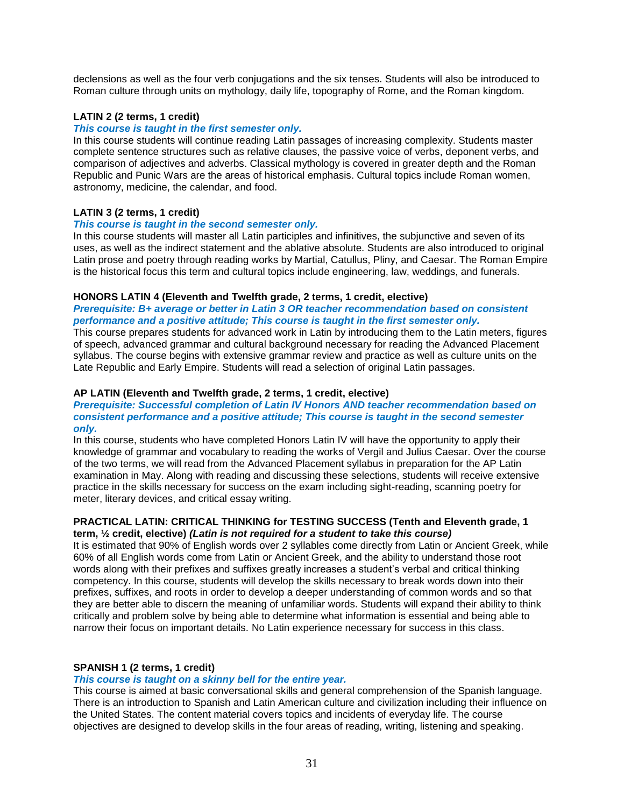declensions as well as the four verb conjugations and the six tenses. Students will also be introduced to Roman culture through units on mythology, daily life, topography of Rome, and the Roman kingdom.

# **LATIN 2 (2 terms, 1 credit)**

# *This course is taught in the first semester only.*

In this course students will continue reading Latin passages of increasing complexity. Students master complete sentence structures such as relative clauses, the passive voice of verbs, deponent verbs, and comparison of adjectives and adverbs. Classical mythology is covered in greater depth and the Roman Republic and Punic Wars are the areas of historical emphasis. Cultural topics include Roman women, astronomy, medicine, the calendar, and food.

# **LATIN 3 (2 terms, 1 credit)**

#### *This course is taught in the second semester only.*

In this course students will master all Latin participles and infinitives, the subjunctive and seven of its uses, as well as the indirect statement and the ablative absolute. Students are also introduced to original Latin prose and poetry through reading works by Martial, Catullus, Pliny, and Caesar. The Roman Empire is the historical focus this term and cultural topics include engineering, law, weddings, and funerals.

#### **HONORS LATIN 4 (Eleventh and Twelfth grade, 2 terms, 1 credit, elective)**

*Prerequisite: B+ average or better in Latin 3 OR teacher recommendation based on consistent performance and a positive attitude; This course is taught in the first semester only.*

This course prepares students for advanced work in Latin by introducing them to the Latin meters, figures of speech, advanced grammar and cultural background necessary for reading the Advanced Placement syllabus. The course begins with extensive grammar review and practice as well as culture units on the Late Republic and Early Empire. Students will read a selection of original Latin passages.

#### **AP LATIN (Eleventh and Twelfth grade, 2 terms, 1 credit, elective)**

#### *Prerequisite: Successful completion of Latin IV Honors AND teacher recommendation based on consistent performance and a positive attitude; This course is taught in the second semester only.*

In this course, students who have completed Honors Latin IV will have the opportunity to apply their knowledge of grammar and vocabulary to reading the works of Vergil and Julius Caesar. Over the course of the two terms, we will read from the Advanced Placement syllabus in preparation for the AP Latin examination in May. Along with reading and discussing these selections, students will receive extensive practice in the skills necessary for success on the exam including sight-reading, scanning poetry for meter, literary devices, and critical essay writing.

#### **PRACTICAL LATIN: CRITICAL THINKING for TESTING SUCCESS (Tenth and Eleventh grade, 1 term, ½ credit, elective)** *(Latin is not required for a student to take this course)*

It is estimated that 90% of English words over 2 syllables come directly from Latin or Ancient Greek, while 60% of all English words come from Latin or Ancient Greek, and the ability to understand those root words along with their prefixes and suffixes greatly increases a student's verbal and critical thinking competency. In this course, students will develop the skills necessary to break words down into their prefixes, suffixes, and roots in order to develop a deeper understanding of common words and so that they are better able to discern the meaning of unfamiliar words. Students will expand their ability to think critically and problem solve by being able to determine what information is essential and being able to narrow their focus on important details. No Latin experience necessary for success in this class.

#### **SPANISH 1 (2 terms, 1 credit)**

#### *This course is taught on a skinny bell for the entire year.*

This course is aimed at basic conversational skills and general comprehension of the Spanish language. There is an introduction to Spanish and Latin American culture and civilization including their influence on the United States. The content material covers topics and incidents of everyday life. The course objectives are designed to develop skills in the four areas of reading, writing, listening and speaking.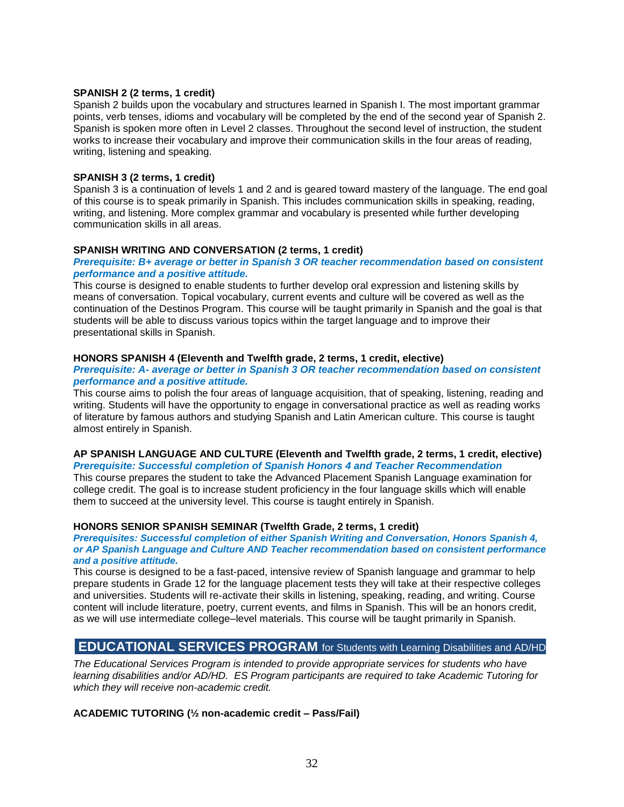#### **SPANISH 2 (2 terms, 1 credit)**

Spanish 2 builds upon the vocabulary and structures learned in Spanish I. The most important grammar points, verb tenses, idioms and vocabulary will be completed by the end of the second year of Spanish 2. Spanish is spoken more often in Level 2 classes. Throughout the second level of instruction, the student works to increase their vocabulary and improve their communication skills in the four areas of reading, writing, listening and speaking.

#### **SPANISH 3 (2 terms, 1 credit)**

Spanish 3 is a continuation of levels 1 and 2 and is geared toward mastery of the language. The end goal of this course is to speak primarily in Spanish. This includes communication skills in speaking, reading, writing, and listening. More complex grammar and vocabulary is presented while further developing communication skills in all areas.

#### **SPANISH WRITING AND CONVERSATION (2 terms, 1 credit)**

#### *Prerequisite: B+ average or better in Spanish 3 OR teacher recommendation based on consistent performance and a positive attitude.*

This course is designed to enable students to further develop oral expression and listening skills by means of conversation. Topical vocabulary, current events and culture will be covered as well as the continuation of the Destinos Program. This course will be taught primarily in Spanish and the goal is that students will be able to discuss various topics within the target language and to improve their presentational skills in Spanish.

#### **HONORS SPANISH 4 (Eleventh and Twelfth grade, 2 terms, 1 credit, elective)**

#### *Prerequisite: A- average or better in Spanish 3 OR teacher recommendation based on consistent performance and a positive attitude.*

This course aims to polish the four areas of language acquisition, that of speaking, listening, reading and writing. Students will have the opportunity to engage in conversational practice as well as reading works of literature by famous authors and studying Spanish and Latin American culture. This course is taught almost entirely in Spanish.

#### **AP SPANISH LANGUAGE AND CULTURE (Eleventh and Twelfth grade, 2 terms, 1 credit, elective)** *Prerequisite: Successful completion of Spanish Honors 4 and Teacher Recommendation*

This course prepares the student to take the Advanced Placement Spanish Language examination for college credit. The goal is to increase student proficiency in the four language skills which will enable them to succeed at the university level. This course is taught entirely in Spanish.

#### **HONORS SENIOR SPANISH SEMINAR (Twelfth Grade, 2 terms, 1 credit)**

#### *Prerequisites: Successful completion of either Spanish Writing and Conversation, Honors Spanish 4, or AP Spanish Language and Culture AND Teacher recommendation based on consistent performance and a positive attitude.*

This course is designed to be a fast-paced, intensive review of Spanish language and grammar to help prepare students in Grade 12 for the language placement tests they will take at their respective colleges and universities. Students will re-activate their skills in listening, speaking, reading, and writing. Course content will include literature, poetry, current events, and films in Spanish. This will be an honors credit, as we will use intermediate college–level materials. This course will be taught primarily in Spanish.

# **EDUCATIONAL SERVICES PROGRAM** for Students with Learning Disabilities and AD/HD

*The Educational Services Program is intended to provide appropriate services for students who have learning disabilities and/or AD/HD. ES Program participants are required to take Academic Tutoring for which they will receive non-academic credit.*

#### **ACADEMIC TUTORING (½ non-academic credit – Pass/Fail)**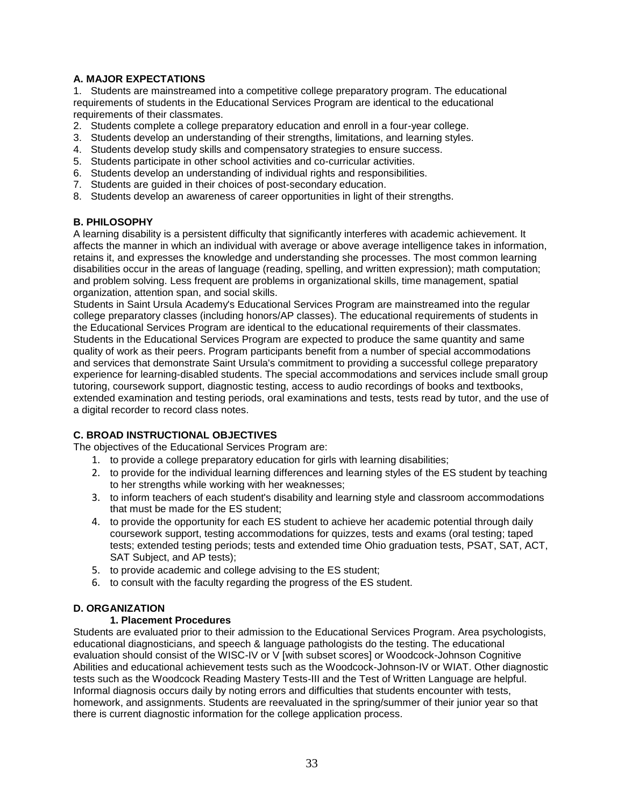# **A. MAJOR EXPECTATIONS**

1. Students are mainstreamed into a competitive college preparatory program. The educational requirements of students in the Educational Services Program are identical to the educational requirements of their classmates.

- 2. Students complete a college preparatory education and enroll in a four-year college.
- 3. Students develop an understanding of their strengths, limitations, and learning styles.
- 4. Students develop study skills and compensatory strategies to ensure success.
- 5. Students participate in other school activities and co-curricular activities.
- 6. Students develop an understanding of individual rights and responsibilities.
- 7. Students are guided in their choices of post-secondary education.
- 8. Students develop an awareness of career opportunities in light of their strengths.

# **B. PHILOSOPHY**

A learning disability is a persistent difficulty that significantly interferes with academic achievement. It affects the manner in which an individual with average or above average intelligence takes in information, retains it, and expresses the knowledge and understanding she processes. The most common learning disabilities occur in the areas of language (reading, spelling, and written expression); math computation; and problem solving. Less frequent are problems in organizational skills, time management, spatial organization, attention span, and social skills.

Students in Saint Ursula Academy's Educational Services Program are mainstreamed into the regular college preparatory classes (including honors/AP classes). The educational requirements of students in the Educational Services Program are identical to the educational requirements of their classmates. Students in the Educational Services Program are expected to produce the same quantity and same quality of work as their peers. Program participants benefit from a number of special accommodations and services that demonstrate Saint Ursula's commitment to providing a successful college preparatory experience for learning-disabled students. The special accommodations and services include small group tutoring, coursework support, diagnostic testing, access to audio recordings of books and textbooks, extended examination and testing periods, oral examinations and tests, tests read by tutor, and the use of a digital recorder to record class notes.

# **C. BROAD INSTRUCTIONAL OBJECTIVES**

The objectives of the Educational Services Program are:

- 1. to provide a college preparatory education for girls with learning disabilities;
- 2. to provide for the individual learning differences and learning styles of the ES student by teaching to her strengths while working with her weaknesses;
- 3. to inform teachers of each student's disability and learning style and classroom accommodations that must be made for the ES student;
- 4. to provide the opportunity for each ES student to achieve her academic potential through daily coursework support, testing accommodations for quizzes, tests and exams (oral testing; taped tests; extended testing periods; tests and extended time Ohio graduation tests, PSAT, SAT, ACT, SAT Subject, and AP tests);
- 5. to provide academic and college advising to the ES student;
- 6. to consult with the faculty regarding the progress of the ES student.

# **D. ORGANIZATION**

#### **1. Placement Procedures**

Students are evaluated prior to their admission to the Educational Services Program. Area psychologists, educational diagnosticians, and speech & language pathologists do the testing. The educational evaluation should consist of the WISC-IV or V [with subset scores] or Woodcock-Johnson Cognitive Abilities and educational achievement tests such as the Woodcock-Johnson-IV or WIAT. Other diagnostic tests such as the Woodcock Reading Mastery Tests-III and the Test of Written Language are helpful. Informal diagnosis occurs daily by noting errors and difficulties that students encounter with tests, homework, and assignments. Students are reevaluated in the spring/summer of their junior year so that there is current diagnostic information for the college application process.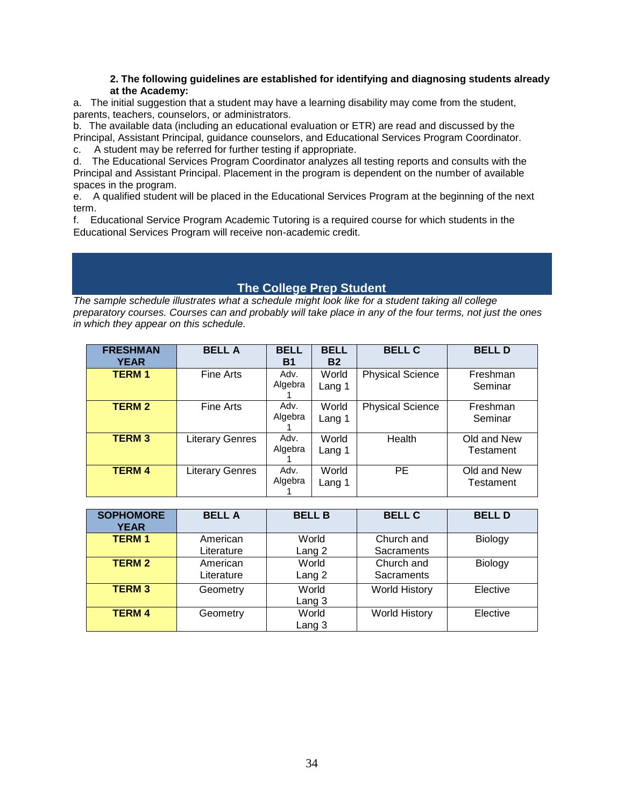# **2. The following guidelines are established for identifying and diagnosing students already at the Academy:**

a. The initial suggestion that a student may have a learning disability may come from the student, parents, teachers, counselors, or administrators.

b. The available data (including an educational evaluation or ETR) are read and discussed by the Principal, Assistant Principal, guidance counselors, and Educational Services Program Coordinator.

c. A student may be referred for further testing if appropriate.

d. The Educational Services Program Coordinator analyzes all testing reports and consults with the Principal and Assistant Principal. Placement in the program is dependent on the number of available spaces in the program.

e. A qualified student will be placed in the Educational Services Program at the beginning of the next term.

<span id="page-33-0"></span>f. Educational Service Program Academic Tutoring is a required course for which students in the Educational Services Program will receive non-academic credit.

# **The College Prep Student**

*The sample schedule illustrates what a schedule might look like for a student taking all college preparatory courses. Courses can and probably will take place in any of the four terms, not just the ones in which they appear on this schedule.*

| <b>FRESHMAN</b><br><b>YEAR</b> | <b>BELL A</b>          | <b>BELL</b><br><b>B1</b> | <b>BELL</b><br><b>B2</b> | <b>BELL C</b>           | <b>BELL D</b>            |
|--------------------------------|------------------------|--------------------------|--------------------------|-------------------------|--------------------------|
| <b>TERM1</b>                   | Fine Arts              | Adv.<br>Algebra          | World<br>Lang 1          | <b>Physical Science</b> | Freshman<br>Seminar      |
| <b>TERM 2</b>                  | Fine Arts              | Adv.<br>Algebra          | World<br>Lang 1          | <b>Physical Science</b> | Freshman<br>Seminar      |
| <b>TERM 3</b>                  | <b>Literary Genres</b> | Adv.<br>Algebra          | World<br>Lang 1          | Health                  | Old and New<br>Testament |
| <b>TERM 4</b>                  | <b>Literary Genres</b> | Adv.<br>Algebra          | World<br>Lang 1          | <b>PE</b>               | Old and New<br>Testament |

| <b>SOPHOMORE</b><br><b>YEAR</b> | <b>BELLA</b>           | <b>BELL B</b>   | <b>BELL C</b>            | <b>BELLD</b> |
|---------------------------------|------------------------|-----------------|--------------------------|--------------|
| <b>TERM1</b>                    | American<br>Literature | World<br>Lang 2 | Church and<br>Sacraments | Biology      |
| <b>TERM 2</b>                   | American<br>Literature | World<br>Lang 2 | Church and<br>Sacraments | Biology      |
| <b>TERM3</b>                    | Geometry               | World<br>Lang 3 | <b>World History</b>     | Elective     |
| <b>TERM 4</b>                   | Geometry               | World<br>Lang 3 | <b>World History</b>     | Elective     |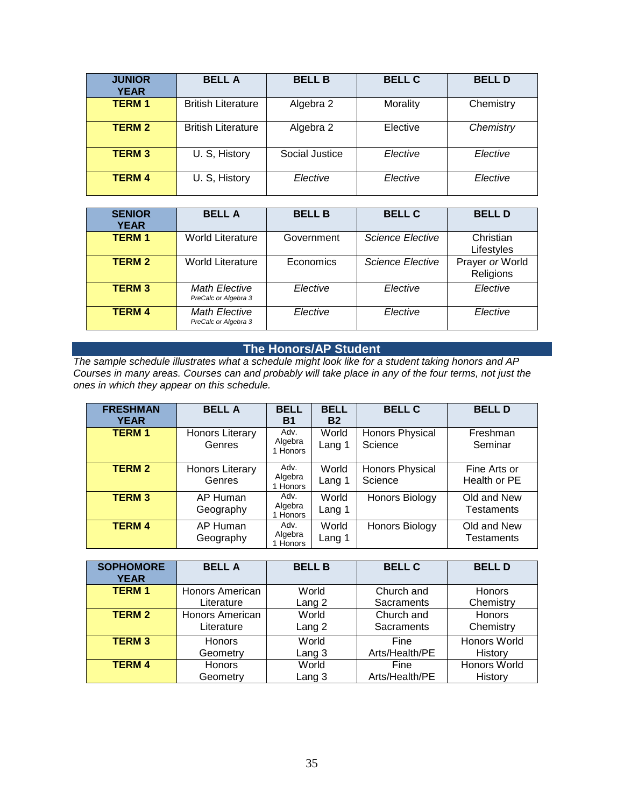| <b>JUNIOR</b><br><b>YEAR</b> | <b>BELLA</b>              | <b>BELL B</b>  | <b>BELL C</b> | <b>BELL D</b> |
|------------------------------|---------------------------|----------------|---------------|---------------|
| <b>TERM1</b>                 | <b>British Literature</b> | Algebra 2      | Morality      | Chemistry     |
| <b>TERM 2</b>                | <b>British Literature</b> | Algebra 2      | Elective      | Chemistry     |
| <b>TERM 3</b>                | U. S, History             | Social Justice | Elective      | Elective      |
| <b>TERM 4</b>                | U. S, History             | Elective       | Elective      | Elective      |

| <b>SENIOR</b><br><b>YEAR</b> | <b>BELLA</b>                                 | <b>BELL B</b> | <b>BELL C</b>           | <b>BELL D</b>                |
|------------------------------|----------------------------------------------|---------------|-------------------------|------------------------------|
| <b>TERM1</b>                 | <b>World Literature</b>                      | Government    | <b>Science Elective</b> | Christian<br>Lifestyles      |
| <b>TERM 2</b>                | <b>World Literature</b>                      | Economics     | <b>Science Elective</b> | Prayer or World<br>Religions |
| <b>TERM 3</b>                | <b>Math Elective</b><br>PreCalc or Algebra 3 | Elective      | Elective                | Elective                     |
| <b>TERM 4</b>                | <b>Math Elective</b><br>PreCalc or Algebra 3 | Elective      | Elective                | Elective                     |

# **The Honors/AP Student**

*The sample schedule illustrates what a schedule might look like for a student taking honors and AP Courses in many areas. Courses can and probably will take place in any of the four terms, not just the ones in which they appear on this schedule.*

| <b>FRESHMAN</b><br><b>YEAR</b> | <b>BELL A</b>             | <b>BELL</b><br><b>B1</b>    | <b>BELL</b><br><b>B2</b> | <b>BELL C</b>                     | <b>BELLD</b>                     |
|--------------------------------|---------------------------|-----------------------------|--------------------------|-----------------------------------|----------------------------------|
| <b>TERM1</b>                   | Honors Literary<br>Genres | Adv.<br>Algebra<br>1 Honors | World<br>Lang 1          | <b>Honors Physical</b><br>Science | Freshman<br>Seminar              |
| <b>TERM 2</b>                  | Honors Literary<br>Genres | Adv.<br>Algebra<br>1 Honors | World<br>Lang 1          | Honors Physical<br>Science        | Fine Arts or<br>Health or PE     |
| <b>TERM 3</b>                  | AP Human<br>Geography     | Adv.<br>Algebra<br>1 Honors | World<br>Lang 1          | Honors Biology                    | Old and New<br><b>Testaments</b> |
| <b>TERM 4</b>                  | AP Human<br>Geography     | Adv.<br>Algebra<br>1 Honors | World<br>Lang 1          | Honors Biology                    | Old and New<br><b>Testaments</b> |

| <b>SOPHOMORE</b><br><b>YEAR</b> | <b>BELLA</b>    | <b>BELL B</b> | <b>BELL C</b>  | <b>BELL D</b>       |
|---------------------------------|-----------------|---------------|----------------|---------------------|
| <b>TERM1</b>                    | Honors American | World         | Church and     | <b>Honors</b>       |
|                                 | Literature      | Lang 2        | Sacraments     | Chemistry           |
| <b>TERM 2</b>                   | Honors American | World         | Church and     | <b>Honors</b>       |
|                                 | Literature      | Lang 2        | Sacraments     | Chemistry           |
| <b>TERM 3</b>                   | <b>Honors</b>   | World         | Fine           | <b>Honors World</b> |
|                                 | Geometry        | Lang 3        | Arts/Health/PE | History             |
| <b>TERM 4</b>                   | <b>Honors</b>   | World         | Fine           | Honors World        |
|                                 | Geometry        | Lang 3        | Arts/Health/PE | History             |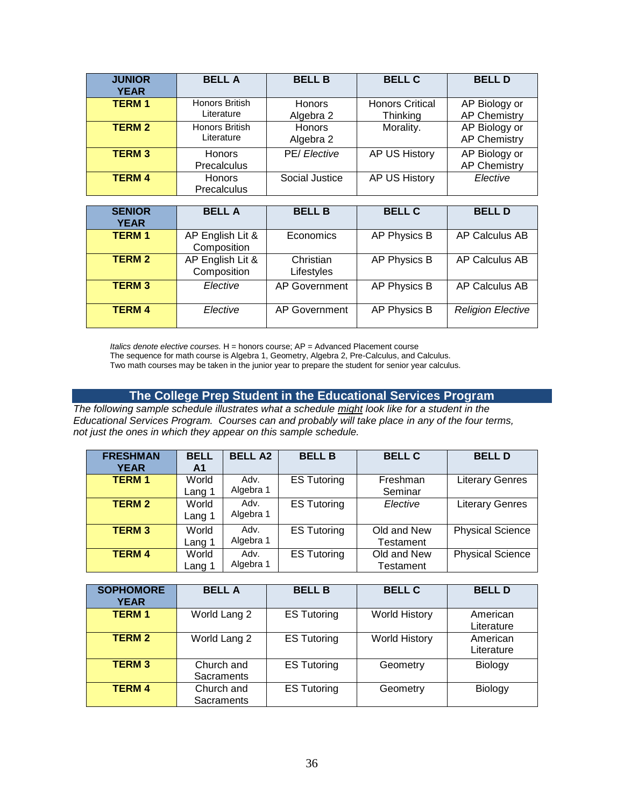| <b>JUNIOR</b><br><b>YEAR</b> | <b>BELLA</b>                    | <b>BELL B</b>              | <b>BELL C</b>                      | <b>BELL D</b>                        |
|------------------------------|---------------------------------|----------------------------|------------------------------------|--------------------------------------|
| <b>TERM1</b>                 | Honors British<br>Literature    | <b>Honors</b><br>Algebra 2 | <b>Honors Critical</b><br>Thinking | AP Biology or<br><b>AP Chemistry</b> |
| <b>TERM 2</b>                | Honors British<br>Literature    | <b>Honors</b><br>Algebra 2 | Morality.                          | AP Biology or<br><b>AP Chemistry</b> |
| <b>TERM 3</b>                | <b>Honors</b><br>Precalculus    | PE/ Elective               | AP US History                      | AP Biology or<br><b>AP Chemistry</b> |
| <b>TERM 4</b>                | <b>Honors</b><br>Precalculus    | Social Justice             | AP US History                      | Elective                             |
|                              |                                 |                            |                                    |                                      |
| <b>SENIOR</b><br><b>YEAR</b> | <b>BELL A</b>                   | <b>BELL B</b>              | <b>BELL C</b>                      | <b>BELL D</b>                        |
| <b>TERM1</b>                 | AP English Lit &<br>Composition | Economics                  | AP Physics B                       | AP Calculus AB                       |
| <b>TERM 2</b>                | AP English Lit &<br>Composition | Christian<br>Lifestyles    | AP Physics B                       | <b>AP Calculus AB</b>                |
| <b>TERM3</b>                 | Elective                        | <b>AP Government</b>       | AP Physics B                       | <b>AP Calculus AB</b>                |
| <b>TERM4</b>                 | Elective                        | <b>AP Government</b>       | AP Physics B                       | <b>Religion Elective</b>             |

*Italics denote elective courses.* H = honors course; AP = Advanced Placement course

The sequence for math course is Algebra 1, Geometry, Algebra 2, Pre-Calculus, and Calculus.

Two math courses may be taken in the junior year to prepare the student for senior year calculus.

# **The College Prep Student in the Educational Services Program**

*The following sample schedule illustrates what a schedule might look like for a student in the Educational Services Program. Courses can and probably will take place in any of the four terms, not just the ones in which they appear on this sample schedule.*

| <b>FRESHMAN</b><br><b>YEAR</b> | <b>BELL</b><br>A1 | <b>BELL A2</b>    | <b>BELL B</b>      | <b>BELL C</b>            | <b>BELLD</b>            |
|--------------------------------|-------------------|-------------------|--------------------|--------------------------|-------------------------|
| <b>TERM1</b>                   | World<br>Lang 1   | Adv.<br>Algebra 1 | <b>ES Tutoring</b> | Freshman<br>Seminar      | <b>Literary Genres</b>  |
| <b>TERM 2</b>                  | World<br>Lang 1   | Adv.<br>Algebra 1 | <b>ES Tutoring</b> | Elective                 | <b>Literary Genres</b>  |
| <b>TERM 3</b>                  | World<br>Lang 1   | Adv.<br>Algebra 1 | <b>ES Tutoring</b> | Old and New<br>Testament | <b>Physical Science</b> |
| <b>TERM 4</b>                  | World<br>Lang 1   | Adv.<br>Algebra 1 | <b>ES Tutoring</b> | Old and New<br>Testament | <b>Physical Science</b> |

| <b>SOPHOMORE</b><br><b>YEAR</b> | <b>BELLA</b>                    | <b>BELL B</b>      | <b>BELL C</b>        | <b>BELL D</b>          |
|---------------------------------|---------------------------------|--------------------|----------------------|------------------------|
| <b>TERM1</b>                    | World Lang 2                    | <b>ES Tutoring</b> | <b>World History</b> | American<br>Literature |
| <b>TERM 2</b>                   | World Lang 2                    | <b>ES Tutoring</b> | <b>World History</b> | American<br>Literature |
| <b>TERM 3</b>                   | Church and<br><b>Sacraments</b> | <b>ES Tutoring</b> | Geometry             | Biology                |
| <b>TERM 4</b>                   | Church and<br>Sacraments        | <b>ES Tutoring</b> | Geometry             | Biology                |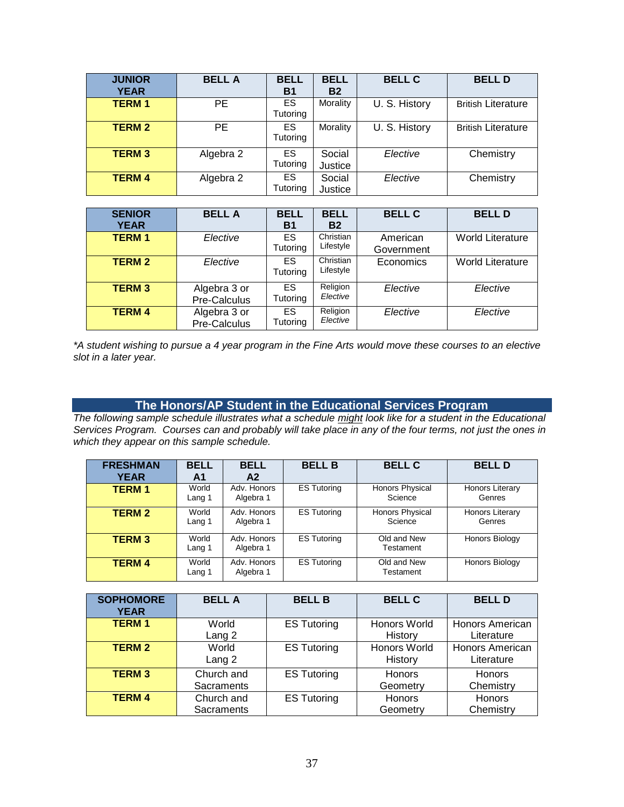| <b>JUNIOR</b><br><b>YEAR</b> | <b>BELLA</b> | <b>BELL</b><br><b>B1</b> | <b>BELL</b><br><b>B2</b> | <b>BELL C</b> | <b>BELLD</b>              |
|------------------------------|--------------|--------------------------|--------------------------|---------------|---------------------------|
| <b>TERM1</b>                 | PE           | ES<br>Tutoring           | Morality                 | U. S. History | <b>British Literature</b> |
| <b>TERM 2</b>                | PE           | ES.<br>Tutoring          | Morality                 | U. S. History | <b>British Literature</b> |
| <b>TERM 3</b>                | Algebra 2    | ES.<br>Tutoring          | Social<br>Justice        | Elective      | Chemistry                 |
| <b>TERM 4</b>                | Algebra 2    | ES.<br>Tutoring          | Social<br>Justice        | Elective      | Chemistry                 |

| <b>SENIOR</b><br><b>YEAR</b> | <b>BELLA</b>                 | <b>BELL</b><br><b>B1</b> | <b>BELL</b><br><b>B2</b>         | <b>BELL C</b>          | <b>BELLD</b>            |
|------------------------------|------------------------------|--------------------------|----------------------------------|------------------------|-------------------------|
| <b>TERM1</b>                 | Elective                     | ES.<br>Tutoring          | Christian<br>Lifestyle           | American<br>Government | <b>World Literature</b> |
| <b>TERM 2</b>                | Elective                     | ES.<br><b>Tutoring</b>   | Christian<br>Lifestyle           | Economics              | <b>World Literature</b> |
| <b>TERM 3</b>                | Algebra 3 or<br>Pre-Calculus | ES.<br>Tutoring          | Religion<br>Elective<br>Elective |                        | Elective                |
| <b>TERM 4</b>                | Algebra 3 or<br>Pre-Calculus | ES.<br>Tutoring          | Religion<br>Elective             | Elective               | Elective                |

*\*A student wishing to pursue a 4 year program in the Fine Arts would move these courses to an elective slot in a later year.*

# **The Honors/AP Student in the Educational Services Program**

*The following sample schedule illustrates what a schedule might look like for a student in the Educational Services Program. Courses can and probably will take place in any of the four terms, not just the ones in which they appear on this sample schedule.*

| <b>FRESHMAN</b><br><b>YEAR</b> | <b>BELL</b><br>Α1 | <b>BELL</b><br>A <sub>2</sub> | <b>BELL B</b>      | <b>BELL C</b>                     | <b>BELLD</b>                     |
|--------------------------------|-------------------|-------------------------------|--------------------|-----------------------------------|----------------------------------|
| <b>TERM1</b>                   | World<br>Lang 1   | Adv. Honors<br>Algebra 1      | <b>ES Tutoring</b> | <b>Honors Physical</b><br>Science | <b>Honors Literary</b><br>Genres |
| <b>TERM 2</b>                  | World<br>Lang 1   | Adv. Honors<br>Algebra 1      | <b>ES Tutoring</b> | <b>Honors Physical</b><br>Science | <b>Honors Literary</b><br>Genres |
| <b>TERM3</b>                   | World<br>Lang 1   | Adv. Honors<br>Algebra 1      | <b>ES Tutoring</b> | Old and New<br>Testament          | <b>Honors Biology</b>            |
| <b>TERM 4</b>                  | World<br>Lang 1   | Adv. Honors<br>Algebra 1      | <b>ES Tutoring</b> | Old and New<br>Testament          | Honors Biology                   |

| <b>SOPHOMORE</b><br><b>YEAR</b> | <b>BELLA</b>               | <b>BELL B</b>      | <b>BELL C</b>             | <b>BELL D</b>                        |
|---------------------------------|----------------------------|--------------------|---------------------------|--------------------------------------|
| <b>TERM1</b>                    | World<br>Lang 2            | <b>ES Tutoring</b> | Honors World<br>History   | Honors American<br>Literature        |
| <b>TERM 2</b>                   | World<br>Lang <sub>2</sub> | <b>ES Tutoring</b> | Honors World<br>History   | <b>Honors American</b><br>Literature |
| <b>TERM 3</b>                   | Church and<br>Sacraments   | <b>ES Tutoring</b> | Honors<br>Geometry        | <b>Honors</b><br>Chemistry           |
| <b>TERM 4</b>                   | Church and<br>Sacraments   | <b>ES Tutoring</b> | <b>Honors</b><br>Geometry | <b>Honors</b><br>Chemistry           |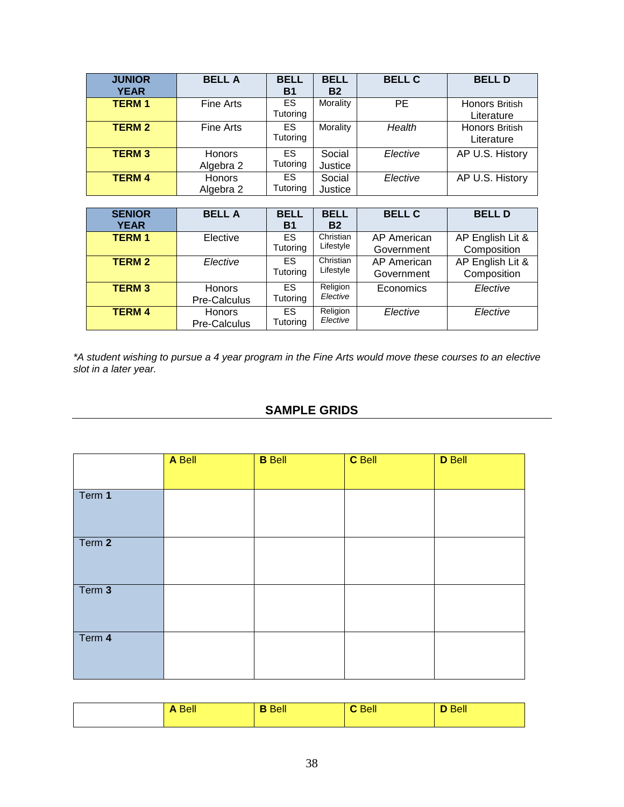| <b>JUNIOR</b><br><b>YEAR</b> | <b>BELLA</b>               | <b>BELL</b><br><b>B1</b> | <b>BELL</b><br><b>B2</b> | <b>BELL C</b> | <b>BELLD</b>                        |
|------------------------------|----------------------------|--------------------------|--------------------------|---------------|-------------------------------------|
| <b>TERM1</b>                 | <b>Fine Arts</b>           | <b>ES</b><br>Tutoring    | Morality                 | <b>PE</b>     | Honors British<br>Literature        |
| <b>TERM 2</b>                | Fine Arts                  | ES.<br>Tutoring          | Morality                 | Health        | <b>Honors British</b><br>Literature |
| <b>TERM 3</b>                | <b>Honors</b><br>Algebra 2 | ES.<br>Tutoring          | Social<br>Justice        | Elective      | AP U.S. History                     |
| <b>TERM 4</b>                | Honors<br>Algebra 2        | ES.<br>Tutoring          | Social<br>Justice        | Elective      | AP U.S. History                     |

| <b>SENIOR</b><br><b>YEAR</b> | <b>BELLA</b>                  | <b>BELL</b><br><b>B1</b> | <b>BELL</b><br><b>B2</b> | <b>BELL C</b>             | <b>BELLD</b>                    |
|------------------------------|-------------------------------|--------------------------|--------------------------|---------------------------|---------------------------------|
| <b>TERM1</b>                 | Elective                      | ES.<br>Tutoring          | Christian<br>Lifestyle   | AP American<br>Government | AP English Lit &<br>Composition |
| <b>TERM 2</b>                | Elective                      | ES.<br>Tutoring          | Christian<br>Lifestyle   | AP American<br>Government | AP English Lit &<br>Composition |
| <b>TERM 3</b>                | <b>Honors</b><br>Pre-Calculus | ES.<br>Tutoring          | Religion<br>Elective     | Economics                 | Elective                        |
| <b>TERM 4</b>                | <b>Honors</b><br>Pre-Calculus | ES.<br>Tutoring          | Religion<br>Elective     | Elective                  | Elective                        |

<span id="page-37-0"></span>*\*A student wishing to pursue a 4 year program in the Fine Arts would move these courses to an elective slot in a later year.*

# **SAMPLE GRIDS**

|        | A Bell | <b>B</b> Bell | C Bell | <b>D</b> Bell |
|--------|--------|---------------|--------|---------------|
| Term 1 |        |               |        |               |
| Term 2 |        |               |        |               |
| Term 3 |        |               |        |               |
| Term 4 |        |               |        |               |

|  | <b>Bell</b><br>D | <b>Bell</b> | <b>Bell</b> |
|--|------------------|-------------|-------------|
|--|------------------|-------------|-------------|